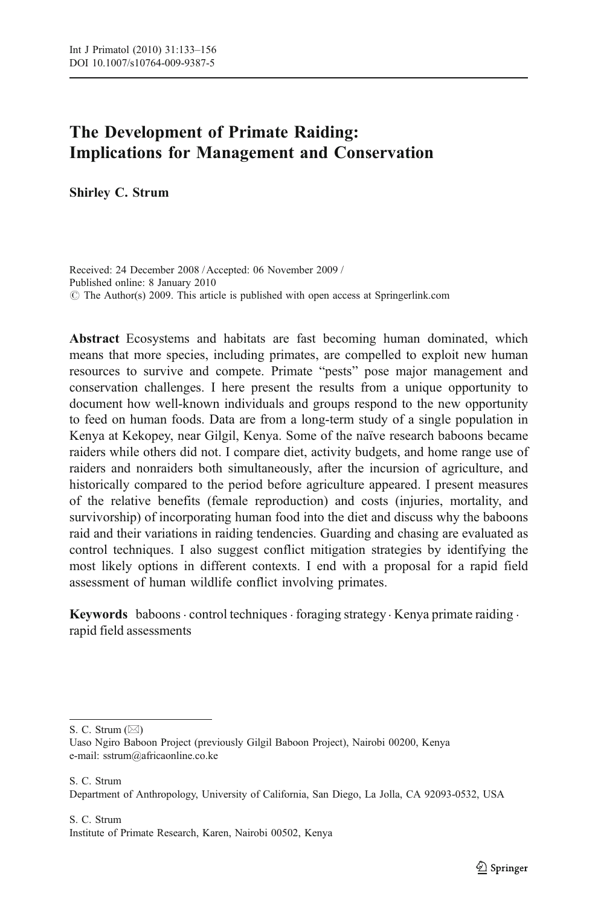# The Development of Primate Raiding: Implications for Management and Conservation

Shirley C. Strum

Received: 24 December 2008 / Accepted: 06 November 2009 / Published online: 8 January 2010  $\circ$  The Author(s) 2009. This article is published with open access at Springerlink.com

Abstract Ecosystems and habitats are fast becoming human dominated, which means that more species, including primates, are compelled to exploit new human resources to survive and compete. Primate "pests" pose major management and conservation challenges. I here present the results from a unique opportunity to document how well-known individuals and groups respond to the new opportunity to feed on human foods. Data are from a long-term study of a single population in Kenya at Kekopey, near Gilgil, Kenya. Some of the naïve research baboons became raiders while others did not. I compare diet, activity budgets, and home range use of raiders and nonraiders both simultaneously, after the incursion of agriculture, and historically compared to the period before agriculture appeared. I present measures of the relative benefits (female reproduction) and costs (injuries, mortality, and survivorship) of incorporating human food into the diet and discuss why the baboons raid and their variations in raiding tendencies. Guarding and chasing are evaluated as control techniques. I also suggest conflict mitigation strategies by identifying the most likely options in different contexts. I end with a proposal for a rapid field assessment of human wildlife conflict involving primates.

Keywords baboons · control techniques · foraging strategy · Kenya primate raiding · rapid field assessments

S. C. Strum (*\**)

S. C. Strum Department of Anthropology, University of California, San Diego, La Jolla, CA 92093-0532, USA

Uaso Ngiro Baboon Project (previously Gilgil Baboon Project), Nairobi 00200, Kenya e-mail: sstrum@africaonline.co.ke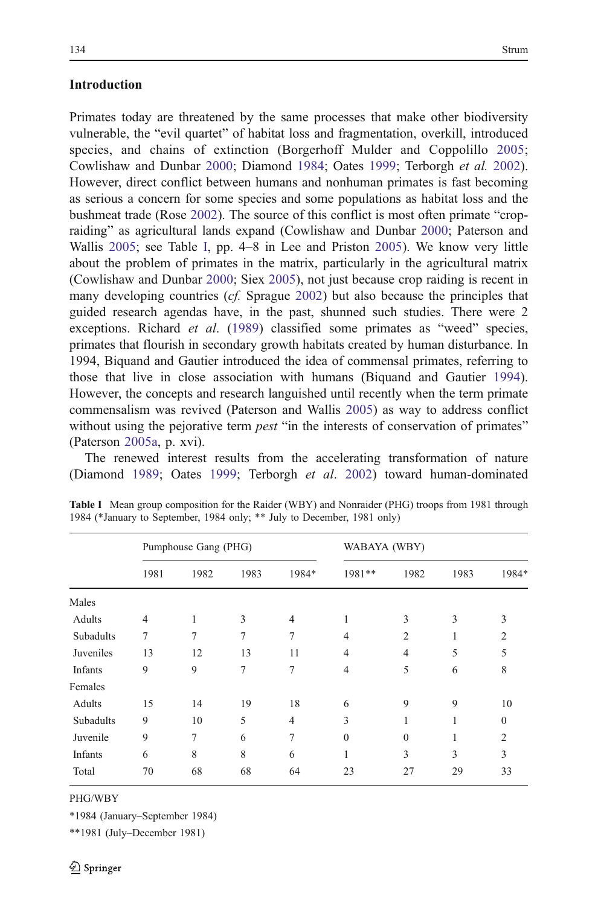### <span id="page-1-0"></span>Introduction

Primates today are threatened by the same processes that make other biodiversity vulnerable, the "evil quartet" of habitat loss and fragmentation, overkill, introduced species, and chains of extinction (Borgerhoff Mulder and Coppolillo [2005;](#page-20-0) Cowlishaw and Dunbar [2000](#page-21-0); Diamond [1984](#page-21-0); Oates [1999](#page-22-0); Terborgh et al. [2002\)](#page-23-0). However, direct conflict between humans and nonhuman primates is fast becoming as serious a concern for some species and some populations as habitat loss and the bushmeat trade (Rose [2002\)](#page-22-0). The source of this conflict is most often primate "cropraiding" as agricultural lands expand (Cowlishaw and Dunbar [2000](#page-21-0); Paterson and Wallis [2005](#page-22-0); see Table I, pp. 4–8 in Lee and Priston [2005\)](#page-22-0). We know very little about the problem of primates in the matrix, particularly in the agricultural matrix (Cowlishaw and Dunbar [2000;](#page-21-0) Siex [2005\)](#page-23-0), not just because crop raiding is recent in many developing countries (cf. Sprague [2002](#page-23-0)) but also because the principles that guided research agendas have, in the past, shunned such studies. There were 2 exceptions. Richard *et al.* [\(1989](#page-22-0)) classified some primates as "weed" species, primates that flourish in secondary growth habitats created by human disturbance. In 1994, Biquand and Gautier introduced the idea of commensal primates, referring to those that live in close association with humans (Biquand and Gautier [1994\)](#page-20-0). However, the concepts and research languished until recently when the term primate commensalism was revived (Paterson and Wallis [2005](#page-22-0)) as way to address conflict without using the pejorative term *pest* "in the interests of conservation of primates" (Paterson [2005a,](#page-22-0) p. xvi).

The renewed interest results from the accelerating transformation of nature (Diamond [1989](#page-21-0); Oates [1999](#page-22-0); Terborgh et al. [2002\)](#page-23-0) toward human-dominated

|           |                | Pumphouse Gang (PHG) |      |       | WABAYA (WBY)   |                |      |                |
|-----------|----------------|----------------------|------|-------|----------------|----------------|------|----------------|
|           | 1981           | 1982                 | 1983 | 1984* | 1981**         | 1982           | 1983 | 1984*          |
| Males     |                |                      |      |       |                |                |      |                |
| Adults    | $\overline{4}$ | 1                    | 3    | 4     | 1              | 3              | 3    | 3              |
| Subadults | 7              | 7                    | 7    | 7     | 4              | $\overline{2}$ |      | $\overline{c}$ |
| Juveniles | 13             | 12                   | 13   | 11    | $\overline{4}$ | $\overline{4}$ | 5    | 5              |
| Infants   | 9              | 9                    | 7    | 7     | $\overline{4}$ | 5              | 6    | 8              |
| Females   |                |                      |      |       |                |                |      |                |
| Adults    | 15             | 14                   | 19   | 18    | 6              | 9              | 9    | 10             |
| Subadults | 9              | 10                   | 5    | 4     | 3              | 1              | 1    | $\Omega$       |
| Juvenile  | 9              | 7                    | 6    | 7     | $\theta$       | $\theta$       | 1    | $\overline{c}$ |
| Infants   | 6              | 8                    | 8    | 6     |                | 3              | 3    | 3              |
| Total     | 70             | 68                   | 68   | 64    | 23             | 27             | 29   | 33             |

Table I Mean group composition for the Raider (WBY) and Nonraider (PHG) troops from 1981 through 1984 (\*January to September, 1984 only; \*\* July to December, 1981 only)

#### PHG/WBY

\*1984 (January–September 1984)

\*\*1981 (July–December 1981)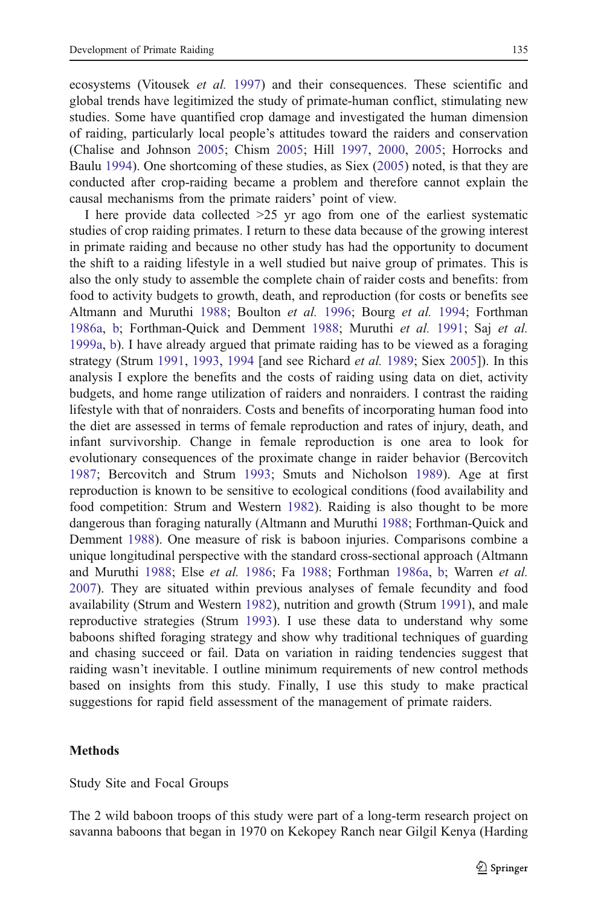ecosystems (Vitousek *et al.* [1997\)](#page-23-0) and their consequences. These scientific and global trends have legitimized the study of primate-human conflict, stimulating new studies. Some have quantified crop damage and investigated the human dimension of raiding, particularly local people's attitudes toward the raiders and conservation (Chalise and Johnson [2005](#page-21-0); Chism [2005](#page-21-0); Hill [1997,](#page-21-0) [2000,](#page-21-0) [2005;](#page-21-0) Horrocks and Baulu [1994](#page-22-0)). One shortcoming of these studies, as Siex [\(2005](#page-23-0)) noted, is that they are conducted after crop-raiding became a problem and therefore cannot explain the causal mechanisms from the primate raiders' point of view.

I here provide data collected >25 yr ago from one of the earliest systematic studies of crop raiding primates. I return to these data because of the growing interest in primate raiding and because no other study has had the opportunity to document the shift to a raiding lifestyle in a well studied but naive group of primates. This is also the only study to assemble the complete chain of raider costs and benefits: from food to activity budgets to growth, death, and reproduction (for costs or benefits see Altmann and Muruthi [1988;](#page-20-0) Boulton et al. [1996](#page-20-0); Bourg et al. [1994](#page-20-0); Forthman [1986a](#page-21-0), [b;](#page-21-0) Forthman-Quick and Demment [1988](#page-21-0); Muruthi et al. [1991](#page-22-0); Saj et al. [1999a](#page-22-0), [b\)](#page-23-0). I have already argued that primate raiding has to be viewed as a foraging strategy (Strum [1991,](#page-23-0) [1993](#page-23-0), [1994](#page-23-0) [and see Richard et al. [1989](#page-22-0); Siex [2005\]](#page-23-0)). In this analysis I explore the benefits and the costs of raiding using data on diet, activity budgets, and home range utilization of raiders and nonraiders. I contrast the raiding lifestyle with that of nonraiders. Costs and benefits of incorporating human food into the diet are assessed in terms of female reproduction and rates of injury, death, and infant survivorship. Change in female reproduction is one area to look for evolutionary consequences of the proximate change in raider behavior (Bercovitch [1987;](#page-20-0) Bercovitch and Strum [1993](#page-20-0); Smuts and Nicholson [1989\)](#page-23-0). Age at first reproduction is known to be sensitive to ecological conditions (food availability and food competition: Strum and Western [1982](#page-23-0)). Raiding is also thought to be more dangerous than foraging naturally (Altmann and Muruthi [1988](#page-20-0); Forthman-Quick and Demment [1988\)](#page-21-0). One measure of risk is baboon injuries. Comparisons combine a unique longitudinal perspective with the standard cross-sectional approach (Altmann and Muruthi [1988](#page-20-0); Else et al. [1986](#page-21-0); Fa [1988](#page-21-0); Forthman [1986a](#page-21-0), [b;](#page-21-0) Warren et al. [2007\)](#page-23-0). They are situated within previous analyses of female fecundity and food availability (Strum and Western [1982](#page-23-0)), nutrition and growth (Strum [1991\)](#page-23-0), and male reproductive strategies (Strum [1993](#page-23-0)). I use these data to understand why some baboons shifted foraging strategy and show why traditional techniques of guarding and chasing succeed or fail. Data on variation in raiding tendencies suggest that raiding wasn't inevitable. I outline minimum requirements of new control methods based on insights from this study. Finally, I use this study to make practical suggestions for rapid field assessment of the management of primate raiders.

#### Methods

Study Site and Focal Groups

The 2 wild baboon troops of this study were part of a long-term research project on savanna baboons that began in 1970 on Kekopey Ranch near Gilgil Kenya (Harding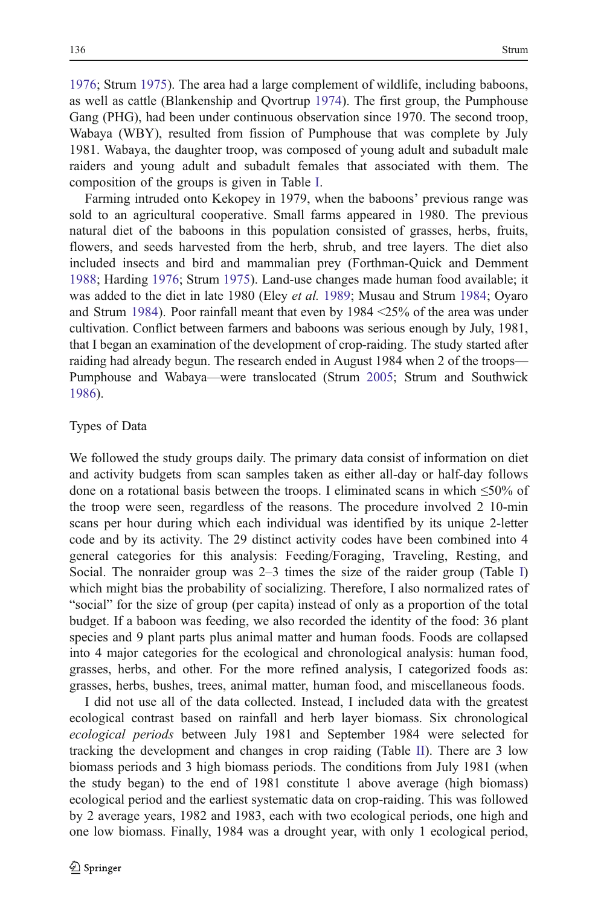[1976;](#page-21-0) Strum [1975](#page-23-0)). The area had a large complement of wildlife, including baboons, as well as cattle (Blankenship and Qvortrup [1974](#page-20-0)). The first group, the Pumphouse Gang (PHG), had been under continuous observation since 1970. The second troop, Wabaya (WBY), resulted from fission of Pumphouse that was complete by July 1981. Wabaya, the daughter troop, was composed of young adult and subadult male raiders and young adult and subadult females that associated with them. The composition of the groups is given in Table [I.](#page-1-0)

Farming intruded onto Kekopey in 1979, when the baboons' previous range was sold to an agricultural cooperative. Small farms appeared in 1980. The previous natural diet of the baboons in this population consisted of grasses, herbs, fruits, flowers, and seeds harvested from the herb, shrub, and tree layers. The diet also included insects and bird and mammalian prey (Forthman-Quick and Demment [1988;](#page-21-0) Harding [1976;](#page-21-0) Strum [1975](#page-23-0)). Land-use changes made human food available; it was added to the diet in late 1980 (Eley *et al.* [1989;](#page-21-0) Musau and Strum [1984;](#page-22-0) Oyaro and Strum [1984](#page-22-0)). Poor rainfall meant that even by 1984 <25% of the area was under cultivation. Conflict between farmers and baboons was serious enough by July, 1981, that I began an examination of the development of crop-raiding. The study started after raiding had already begun. The research ended in August 1984 when 2 of the troops— Pumphouse and Wabaya—were translocated (Strum [2005](#page-23-0); Strum and Southwick [1986\)](#page-23-0).

## Types of Data

We followed the study groups daily. The primary data consist of information on diet and activity budgets from scan samples taken as either all-day or half-day follows done on a rotational basis between the troops. I eliminated scans in which ≤50% of the troop were seen, regardless of the reasons. The procedure involved 2 10-min scans per hour during which each individual was identified by its unique 2-letter code and by its activity. The 29 distinct activity codes have been combined into 4 general categories for this analysis: Feeding/Foraging, Traveling, Resting, and Social. The nonraider group was 2–3 times the size of the raider group (Table [I](#page-1-0)) which might bias the probability of socializing. Therefore, I also normalized rates of "social" for the size of group (per capita) instead of only as a proportion of the total budget. If a baboon was feeding, we also recorded the identity of the food: 36 plant species and 9 plant parts plus animal matter and human foods. Foods are collapsed into 4 major categories for the ecological and chronological analysis: human food, grasses, herbs, and other. For the more refined analysis, I categorized foods as: grasses, herbs, bushes, trees, animal matter, human food, and miscellaneous foods.

I did not use all of the data collected. Instead, I included data with the greatest ecological contrast based on rainfall and herb layer biomass. Six chronological ecological periods between July 1981 and September 1984 were selected for tracking the development and changes in crop raiding (Table [II](#page-4-0)). There are 3 low biomass periods and 3 high biomass periods. The conditions from July 1981 (when the study began) to the end of 1981 constitute 1 above average (high biomass) ecological period and the earliest systematic data on crop-raiding. This was followed by 2 average years, 1982 and 1983, each with two ecological periods, one high and one low biomass. Finally, 1984 was a drought year, with only 1 ecological period,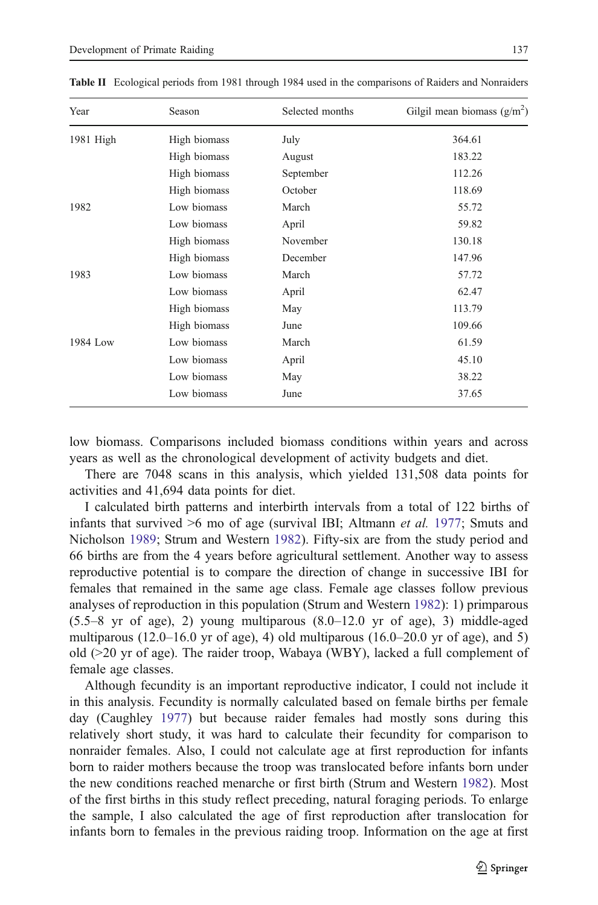| Year      | Season       | Selected months | Gilgil mean biomass $(g/m^2)$ |
|-----------|--------------|-----------------|-------------------------------|
| 1981 High | High biomass | July            | 364.61                        |
|           | High biomass | August          | 183.22                        |
|           | High biomass | September       | 112.26                        |
|           | High biomass | October         | 118.69                        |
| 1982      | Low biomass  | March           | 55.72                         |
|           | Low biomass  | April           | 59.82                         |
|           | High biomass | November        | 130.18                        |
|           | High biomass | December        | 147.96                        |
| 1983      | Low biomass  | March           | 57.72                         |
|           | Low biomass  | April           | 62.47                         |
|           | High biomass | May             | 113.79                        |
|           | High biomass | June            | 109.66                        |
| 1984 Low  | Low biomass  | March           | 61.59                         |
|           | Low biomass  | April           | 45.10                         |
|           | Low biomass  | May             | 38.22                         |
|           | Low biomass  | June            | 37.65                         |

<span id="page-4-0"></span>Table II Ecological periods from 1981 through 1984 used in the comparisons of Raiders and Nonraiders

low biomass. Comparisons included biomass conditions within years and across years as well as the chronological development of activity budgets and diet.

There are 7048 scans in this analysis, which yielded 131,508 data points for activities and 41,694 data points for diet.

I calculated birth patterns and interbirth intervals from a total of 122 births of infants that survived  $>6$  mo of age (survival IBI; Altmann *et al.* [1977](#page-20-0); Smuts and Nicholson [1989](#page-23-0); Strum and Western [1982](#page-23-0)). Fifty-six are from the study period and 66 births are from the 4 years before agricultural settlement. Another way to assess reproductive potential is to compare the direction of change in successive IBI for females that remained in the same age class. Female age classes follow previous analyses of reproduction in this population (Strum and Western [1982](#page-23-0)): 1) primparous (5.5–8 yr of age), 2) young multiparous (8.0–12.0 yr of age), 3) middle-aged multiparous  $(12.0-16.0 \text{ yr of age})$ , 4) old multiparous  $(16.0-20.0 \text{ yr of age})$ , and 5) old (>20 yr of age). The raider troop, Wabaya (WBY), lacked a full complement of female age classes.

Although fecundity is an important reproductive indicator, I could not include it in this analysis. Fecundity is normally calculated based on female births per female day (Caughley [1977\)](#page-21-0) but because raider females had mostly sons during this relatively short study, it was hard to calculate their fecundity for comparison to nonraider females. Also, I could not calculate age at first reproduction for infants born to raider mothers because the troop was translocated before infants born under the new conditions reached menarche or first birth (Strum and Western [1982](#page-23-0)). Most of the first births in this study reflect preceding, natural foraging periods. To enlarge the sample, I also calculated the age of first reproduction after translocation for infants born to females in the previous raiding troop. Information on the age at first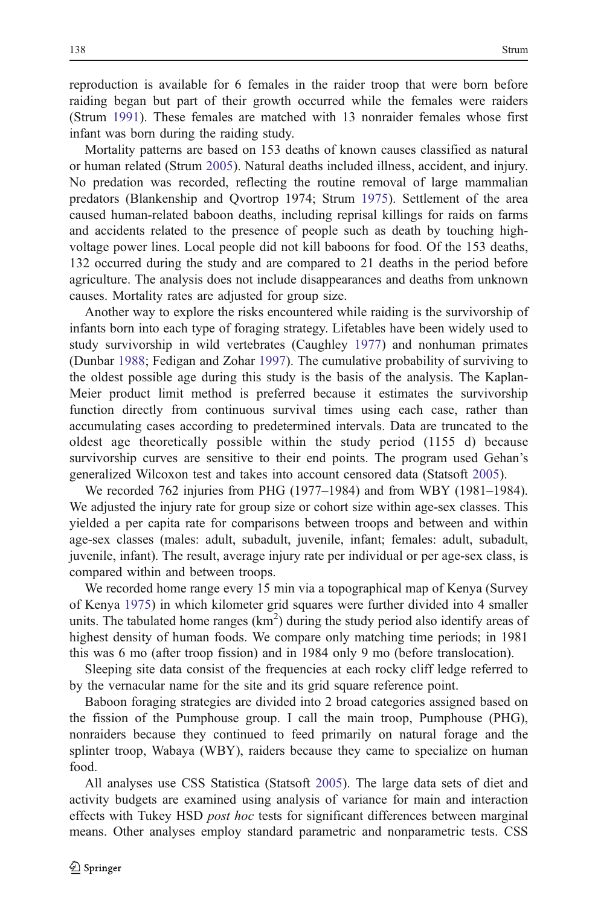reproduction is available for 6 females in the raider troop that were born before raiding began but part of their growth occurred while the females were raiders (Strum [1991\)](#page-23-0). These females are matched with 13 nonraider females whose first infant was born during the raiding study.

Mortality patterns are based on 153 deaths of known causes classified as natural or human related (Strum [2005](#page-23-0)). Natural deaths included illness, accident, and injury. No predation was recorded, reflecting the routine removal of large mammalian predators (Blankenship and Qvortrop 1974; Strum [1975\)](#page-23-0). Settlement of the area caused human-related baboon deaths, including reprisal killings for raids on farms and accidents related to the presence of people such as death by touching highvoltage power lines. Local people did not kill baboons for food. Of the 153 deaths, 132 occurred during the study and are compared to 21 deaths in the period before agriculture. The analysis does not include disappearances and deaths from unknown causes. Mortality rates are adjusted for group size.

Another way to explore the risks encountered while raiding is the survivorship of infants born into each type of foraging strategy. Lifetables have been widely used to study survivorship in wild vertebrates (Caughley [1977](#page-21-0)) and nonhuman primates (Dunbar [1988;](#page-21-0) Fedigan and Zohar [1997](#page-21-0)). The cumulative probability of surviving to the oldest possible age during this study is the basis of the analysis. The Kaplan-Meier product limit method is preferred because it estimates the survivorship function directly from continuous survival times using each case, rather than accumulating cases according to predetermined intervals. Data are truncated to the oldest age theoretically possible within the study period (1155 d) because survivorship curves are sensitive to their end points. The program used Gehan's generalized Wilcoxon test and takes into account censored data (Statsoft [2005](#page-23-0)).

We recorded 762 injuries from PHG (1977–1984) and from WBY (1981–1984). We adjusted the injury rate for group size or cohort size within age-sex classes. This yielded a per capita rate for comparisons between troops and between and within age-sex classes (males: adult, subadult, juvenile, infant; females: adult, subadult, juvenile, infant). The result, average injury rate per individual or per age-sex class, is compared within and between troops.

We recorded home range every 15 min via a topographical map of Kenya (Survey of Kenya [1975](#page-23-0)) in which kilometer grid squares were further divided into 4 smaller units. The tabulated home ranges  $(km^2)$  during the study period also identify areas of highest density of human foods. We compare only matching time periods; in 1981 this was 6 mo (after troop fission) and in 1984 only 9 mo (before translocation).

Sleeping site data consist of the frequencies at each rocky cliff ledge referred to by the vernacular name for the site and its grid square reference point.

Baboon foraging strategies are divided into 2 broad categories assigned based on the fission of the Pumphouse group. I call the main troop, Pumphouse (PHG), nonraiders because they continued to feed primarily on natural forage and the splinter troop, Wabaya (WBY), raiders because they came to specialize on human food.

All analyses use CSS Statistica (Statsoft [2005\)](#page-23-0). The large data sets of diet and activity budgets are examined using analysis of variance for main and interaction effects with Tukey HSD *post hoc* tests for significant differences between marginal means. Other analyses employ standard parametric and nonparametric tests. CSS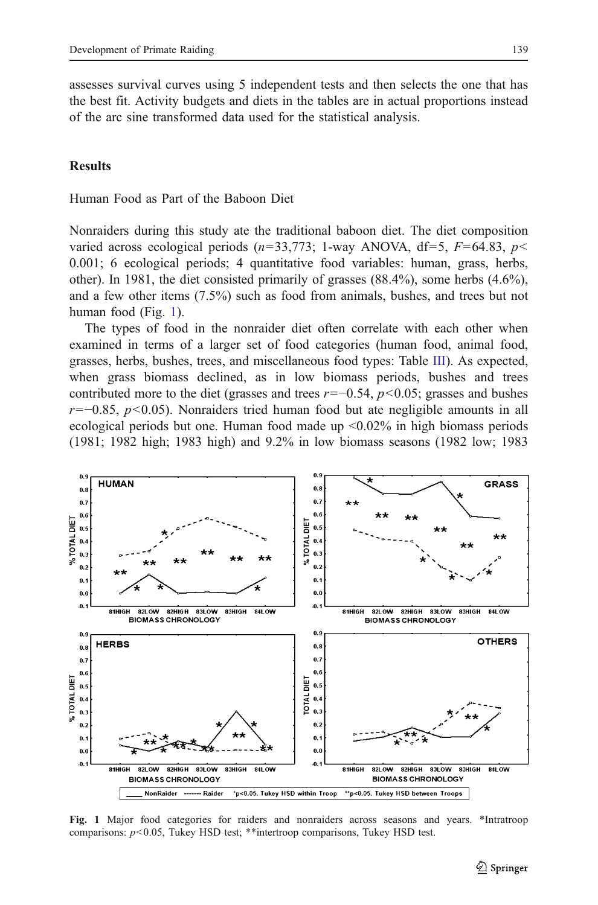<span id="page-6-0"></span>assesses survival curves using 5 independent tests and then selects the one that has the best fit. Activity budgets and diets in the tables are in actual proportions instead of the arc sine transformed data used for the statistical analysis.

#### Results

Human Food as Part of the Baboon Diet

Nonraiders during this study ate the traditional baboon diet. The diet composition varied across ecological periods  $(n=33,773; 1-way ANOVA, df=5, F=64.83, p<sup>2</sup>$ 0.001; 6 ecological periods; 4 quantitative food variables: human, grass, herbs, other). In 1981, the diet consisted primarily of grasses  $(88.4\%)$ , some herbs  $(4.6\%)$ , and a few other items (7.5%) such as food from animals, bushes, and trees but not human food (Fig. 1).

The types of food in the nonraider diet often correlate with each other when examined in terms of a larger set of food categories (human food, animal food, grasses, herbs, bushes, trees, and miscellaneous food types: Table [III\)](#page-7-0). As expected, when grass biomass declined, as in low biomass periods, bushes and trees contributed more to the diet (grasses and trees  $r=-0.54$ ,  $p<0.05$ ; grasses and bushes  $r=-0.85$ ,  $p<0.05$ ). Nonraiders tried human food but ate negligible amounts in all ecological periods but one. Human food made up <0.02% in high biomass periods (1981; 1982 high; 1983 high) and 9.2% in low biomass seasons (1982 low; 1983



Fig. 1 Major food categories for raiders and nonraiders across seasons and years. \*Intratroop comparisons:  $p<0.05$ , Tukey HSD test; \*\*intertroop comparisons, Tukey HSD test.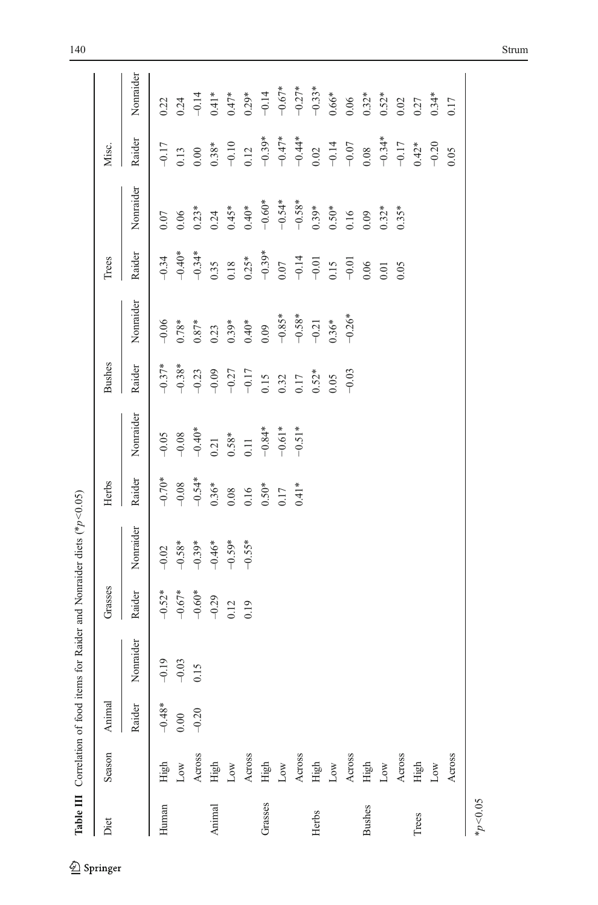<span id="page-7-0"></span>

|               |                 |          | Table III Correlation of food items for Raider and Nonraider diets ( $*_{p}$ <0.05) |          |           |          |           |               |           |          |           |          |                   |
|---------------|-----------------|----------|-------------------------------------------------------------------------------------|----------|-----------|----------|-----------|---------------|-----------|----------|-----------|----------|-------------------|
| Diet          | Season          | Animal   |                                                                                     | Grasses  |           | Herbs    |           | <b>Bushes</b> |           | Trees    |           | Misc.    |                   |
|               |                 | Raider   | Nonraider                                                                           | Raider   | Nonraider | Raider   | Nonraider | Raider        | Nonraider | Raider   | Nonraider | Raider   | Nonraider         |
| Human         | High            | $-0.48*$ | $-0.19$                                                                             | $-0.52*$ | $-0.02$   | $-0.70*$ | $-0.05$   | $-0.37*$      | $-0.06$   | $-0.34$  | $0.07\,$  | $-0.17$  | 0.22              |
|               | $_{\text{Low}}$ | 0.00     | $-0.03$                                                                             | $-0.67*$ | $-0.58*$  | $-0.08$  | $-0.08$   | $-0.38*$      | $0.78*$   | $-0.40*$ | 0.06      | 0.13     | 0.24              |
|               | Across          | $-0.20$  | 0.15                                                                                | $-0.60*$ | $-0.39*$  | $-0.54*$ | $-0.40*$  | $-0.23$       | $0.87*$   | $-0.34*$ | $0.23*$   | 0.00     | $-0.14$           |
| Animal        | High            |          |                                                                                     | $-0.29$  | $-0.46*$  | $0.36*$  | 0.21      | $-0.09$       | 0.23      | 0.35     | 0.24      | $0.38*$  | $0.41*$           |
|               | $_{\rm Low}$    |          |                                                                                     | 0.12     | $-0.59*$  | $0.08\,$ | $0.58*$   | $-0.27$       | $0.39*$   | $0.18$   | $0.45*$   | $-0.10$  | $0.47*$<br>0.29*  |
|               | Across          |          |                                                                                     | 0.19     | $-0.55*$  | $0.16$   | 0.11      | $-0.17$       | $0.40*$   | $0.25*$  | $0.40*$   | 0.12     |                   |
| Grasses       | High            |          |                                                                                     |          |           | $0.50*$  | $-0.84*$  | 0.15          | 0.09      | $-0.39*$ | $-0.60*$  | $-0.39*$ | $-0.14$           |
|               | $_{\rm Low}$    |          |                                                                                     |          |           | 0.17     | $-0.61*$  | 0.32<br>0.17  | $-0.85*$  |          | $-0.54*$  | $-0.47*$ | $-0.67*$          |
|               | Across          |          |                                                                                     |          |           | $0.41*$  | $-0.51*$  |               | $-0.58*$  | $-0.14$  | $-0.58*$  | $-0.44*$ | $-0.27*$          |
| Herbs         | $\rm High$      |          |                                                                                     |          |           |          |           | $0.52*$       | $-0.21$   | $-0.01$  | $0.39*$   | 0.02     | $-0.33*$          |
|               | $_{\rm Low}$    |          |                                                                                     |          |           |          |           | 0.05          | $0.36*$   | 0.15     | $0.50*$   | $-0.14$  | $0.66*$           |
|               | Across          |          |                                                                                     |          |           |          |           | $-0.03$       | $-0.26*$  | $-0.01$  | 0.16      | $-0.07$  | 0.06              |
| <b>Bushes</b> | High            |          |                                                                                     |          |           |          |           |               |           | 0.06     | 0.09      | $0.08\,$ | $0.32*$           |
|               | $_{\rm Low}$    |          |                                                                                     |          |           |          |           |               |           | 0.01     | $0.32*$   | $-0.34*$ | $0.52*$<br>$0.02$ |
|               | Across          |          |                                                                                     |          |           |          |           |               |           | 0.05     | $0.35*$   | $-0.17$  |                   |
| Trees         | $\rm High$      |          |                                                                                     |          |           |          |           |               |           |          |           | $0.42*$  | 0.27              |
|               | Low             |          |                                                                                     |          |           |          |           |               |           |          |           | $-0.20$  | $0.34*$           |
|               | Across          |          |                                                                                     |          |           |          |           |               |           |          |           | 0.05     | 0.17              |
| $*_{p<0.05}$  |                 |          |                                                                                     |          |           |          |           |               |           |          |           |          |                   |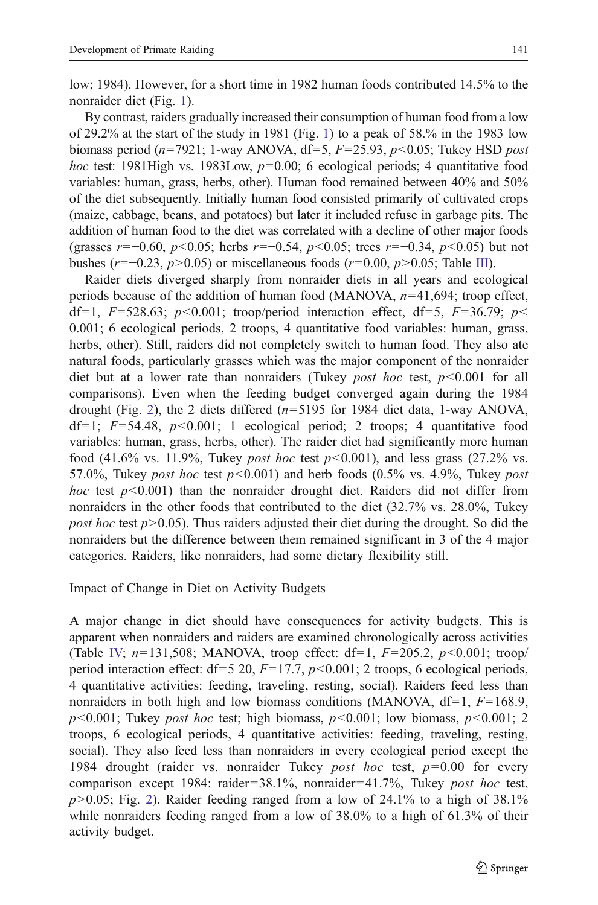low; 1984). However, for a short time in 1982 human foods contributed 14.5% to the nonraider diet (Fig. [1](#page-6-0)).

By contrast, raiders gradually increased their consumption of human food from a low of 29.2% at the start of the study in 1981 (Fig. [1](#page-6-0)) to a peak of 58.% in the 1983 low biomass period ( $n=7921$ ; 1-way ANOVA,  $df=5$ ,  $F=25.93$ ,  $p<0.05$ ; Tukey HSD post hoc test: 1981High vs. 1983Low,  $p=0.00$ ; 6 ecological periods; 4 quantitative food variables: human, grass, herbs, other). Human food remained between 40% and 50% of the diet subsequently. Initially human food consisted primarily of cultivated crops (maize, cabbage, beans, and potatoes) but later it included refuse in garbage pits. The addition of human food to the diet was correlated with a decline of other major foods (grasses  $r=-0.60$ ,  $p<0.05$ ; herbs  $r=-0.54$ ,  $p<0.05$ ; trees  $r=-0.34$ ,  $p<0.05$ ) but not bushes ( $r=-0.23$ ,  $p>0.05$ ) or miscellaneous foods ( $r=0.00$ ,  $p>0.05$ ; Table [III](#page-7-0)).

Raider diets diverged sharply from nonraider diets in all years and ecological periods because of the addition of human food (MANOVA,  $n=41,694$ ; troop effect, df=1,  $F=528.63$ ;  $p<0.001$ ; troop/period interaction effect, df=5,  $F=36.79$ ;  $p<$ 0.001; 6 ecological periods, 2 troops, 4 quantitative food variables: human, grass, herbs, other). Still, raiders did not completely switch to human food. They also ate natural foods, particularly grasses which was the major component of the nonraider diet but at a lower rate than nonraiders (Tukey *post hoc* test,  $p < 0.001$  for all comparisons). Even when the feeding budget converged again during the 1984 drought (Fig. [2](#page-9-0)), the 2 diets differed  $(n=5195$  for 1984 diet data, 1-way ANOVA, df=1;  $F=54.48$ ,  $p<0.001$ ; 1 ecological period; 2 troops; 4 quantitative food variables: human, grass, herbs, other). The raider diet had significantly more human food (41.6% vs. 11.9%, Tukey *post hoc* test  $p<0.001$ ), and less grass (27.2% vs. 57.0%, Tukey *post hoc* test  $p < 0.001$  and herb foods (0.5% vs. 4.9%, Tukey *post hoc* test  $p < 0.001$ ) than the nonraider drought diet. Raiders did not differ from nonraiders in the other foods that contributed to the diet (32.7% vs. 28.0%, Tukey post hoc test  $p > 0.05$ ). Thus raiders adjusted their diet during the drought. So did the nonraiders but the difference between them remained significant in 3 of the 4 major categories. Raiders, like nonraiders, had some dietary flexibility still.

## Impact of Change in Diet on Activity Budgets

A major change in diet should have consequences for activity budgets. This is apparent when nonraiders and raiders are examined chronologically across activities (Table [IV;](#page-9-0)  $n=131,508$ ; MANOVA, troop effect: df=1,  $F=205.2$ ,  $p<0.001$ ; troop/ period interaction effect:  $df=5$  20,  $F=17.7$ ,  $p<0.001$ ; 2 troops, 6 ecological periods, 4 quantitative activities: feeding, traveling, resting, social). Raiders feed less than nonraiders in both high and low biomass conditions (MANOVA,  $df=1$ ,  $F=168.9$ ,  $p<0.001$ ; Tukey *post hoc* test; high biomass,  $p<0.001$ ; low biomass,  $p<0.001$ ; 2 troops, 6 ecological periods, 4 quantitative activities: feeding, traveling, resting, social). They also feed less than nonraiders in every ecological period except the 1984 drought (raider vs. nonraider Tukey post hoc test,  $p=0.00$  for every comparison except 1984: raider=38.1%, nonraider=41.7%, Tukey post hoc test,  $p > 0.05$ ; Fig. [2](#page-9-0)). Raider feeding ranged from a low of 24.1% to a high of 38.1% while nonraiders feeding ranged from a low of 38.0% to a high of 61.3% of their activity budget.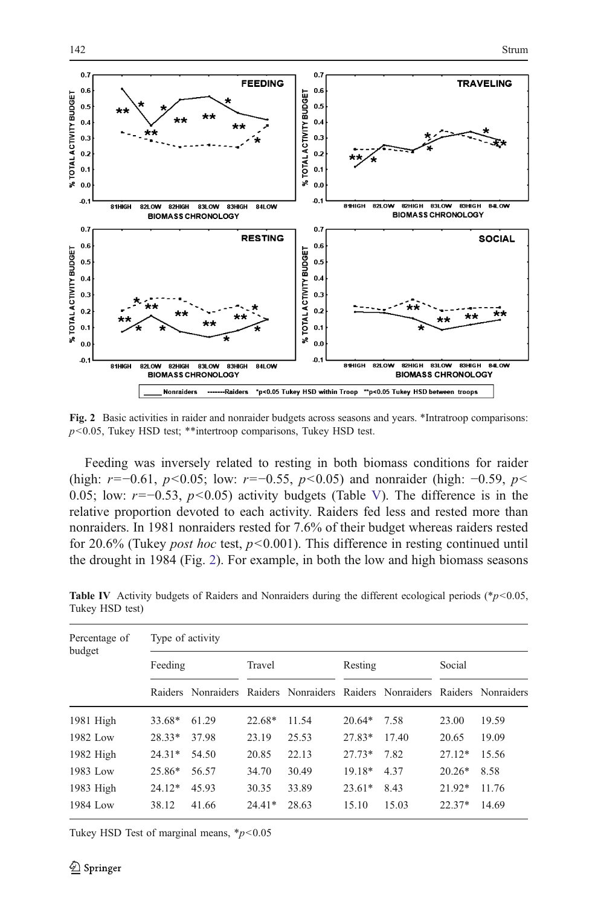<span id="page-9-0"></span>

Fig. 2 Basic activities in raider and nonraider budgets across seasons and years. \*Intratroop comparisons:  $p$ <0.05, Tukey HSD test; \*\*intertroop comparisons, Tukey HSD test.

Feeding was inversely related to resting in both biomass conditions for raider (high:  $r=-0.61$ ,  $p<0.05$ ; low:  $r=-0.55$ ,  $p<0.05$ ) and nonraider (high:  $-0.59$ ,  $p<$ 0.05; low:  $r=-0.53$ ,  $p<0.05$ ) activity budgets (Table [V](#page-10-0)). The difference is in the relative proportion devoted to each activity. Raiders fed less and rested more than nonraiders. In 1981 nonraiders rested for 7.6% of their budget whereas raiders rested for 20.6% (Tukey *post hoc* test,  $p < 0.001$ ). This difference in resting continued until the drought in 1984 (Fig. 2). For example, in both the low and high biomass seasons

| Percentage of | Type of activity |       |          |                                                                             |          |       |          |       |
|---------------|------------------|-------|----------|-----------------------------------------------------------------------------|----------|-------|----------|-------|
| budget        | Feeding          |       | Travel   |                                                                             | Resting  |       | Social   |       |
|               |                  |       |          | Raiders Nonraiders Raiders Nonraiders Raiders Nonraiders Raiders Nonraiders |          |       |          |       |
| $1981$ High   | 33.68*           | 61.29 | $22.68*$ | 11.54                                                                       | $20.64*$ | 7.58  | 23.00    | 19.59 |
| 1982 Low      | $28.33*$         | 37.98 | 23.19    | 25.53                                                                       | $27.83*$ | 17.40 | 20.65    | 19.09 |
| $1982$ High   | $24.31*$         | 54.50 | 20.85    | 22.13                                                                       | $27.73*$ | 7.82  | $27.12*$ | 15.56 |
| 1983 Low      | $25.86*$         | 56.57 | 34.70    | 30.49                                                                       | 19.18*   | 4.37  | $20.26*$ | 8.58  |
| $1983$ High   | $24.12*$         | 45.93 | 30.35    | 33.89                                                                       | $23.61*$ | 8.43  | $21.92*$ | 11.76 |
| 1984 Low      | 38.12            | 41.66 | $24.41*$ | 28.63                                                                       | 15.10    | 15.03 | $22.37*$ | 14.69 |

Table IV Activity budgets of Raiders and Nonraiders during the different ecological periods (\*p<0.05, Tukey HSD test)

Tukey HSD Test of marginal means,  $*_{p}$ <0.05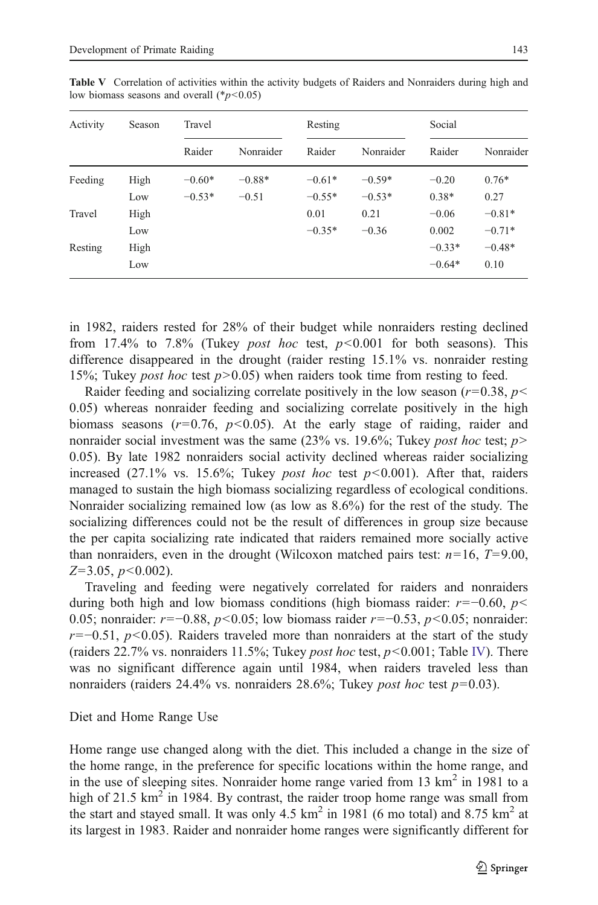| Activity | Season | Travel   |           | Resting  |           | Social   |           |  |
|----------|--------|----------|-----------|----------|-----------|----------|-----------|--|
|          |        | Raider   | Nonraider | Raider   | Nonraider | Raider   | Nonraider |  |
| Feeding  | High   | $-0.60*$ | $-0.88*$  | $-0.61*$ | $-0.59*$  | $-0.20$  | $0.76*$   |  |
|          | Low    | $-0.53*$ | $-0.51$   | $-0.55*$ | $-0.53*$  | $0.38*$  | 0.27      |  |
| Travel   | High   |          |           | 0.01     | 0.21      | $-0.06$  | $-0.81*$  |  |
|          | Low    |          |           | $-0.35*$ | $-0.36$   | 0.002    | $-0.71*$  |  |
| Resting  | High   |          |           |          |           | $-0.33*$ | $-0.48*$  |  |
|          | Low    |          |           |          |           | $-0.64*$ | 0.10      |  |

<span id="page-10-0"></span>Table V Correlation of activities within the activity budgets of Raiders and Nonraiders during high and low biomass seasons and overall  $(*p<0.05)$ 

in 1982, raiders rested for 28% of their budget while nonraiders resting declined from 17.4% to 7.8% (Tukey post hoc test,  $p < 0.001$  for both seasons). This difference disappeared in the drought (raider resting 15.1% vs. nonraider resting 15%; Tukey *post hoc* test  $p > 0.05$ ) when raiders took time from resting to feed.

Raider feeding and socializing correlate positively in the low season  $(r=0.38, p<$ 0.05) whereas nonraider feeding and socializing correlate positively in the high biomass seasons  $(r=0.76, p<0.05)$ . At the early stage of raiding, raider and nonraider social investment was the same  $(23\% \text{ vs. } 19.6\%;$  Tukey post hoc test;  $p$ 0.05). By late 1982 nonraiders social activity declined whereas raider socializing increased  $(27.1\%$  vs. 15.6%; Tukey *post hoc* test  $p < 0.001$ ). After that, raiders managed to sustain the high biomass socializing regardless of ecological conditions. Nonraider socializing remained low (as low as 8.6%) for the rest of the study. The socializing differences could not be the result of differences in group size because the per capita socializing rate indicated that raiders remained more socially active than nonraiders, even in the drought (Wilcoxon matched pairs test:  $n=16$ ,  $T=9.00$ ,  $Z=3.05$ ,  $p<0.002$ ).

Traveling and feeding were negatively correlated for raiders and nonraiders during both high and low biomass conditions (high biomass raider:  $r=-0.60, p<$ 0.05; nonraider:  $r=-0.88$ ,  $p<0.05$ ; low biomass raider  $r=-0.53$ ,  $p<0.05$ ; nonraider:  $r=-0.51, p<0.05$ ). Raiders traveled more than nonraiders at the start of the study (raiders 22.7% vs. nonraiders 11.5%; Tukey *post hoc* test,  $p < 0.001$ ; Table [IV](#page-9-0)). There was no significant difference again until 1984, when raiders traveled less than nonraiders (raiders 24.4% vs. nonraiders 28.6%; Tukey *post hoc* test  $p=0.03$ ).

## Diet and Home Range Use

Home range use changed along with the diet. This included a change in the size of the home range, in the preference for specific locations within the home range, and in the use of sleeping sites. Nonraider home range varied from  $13 \text{ km}^2$  in 1981 to a high of 21.5  $km^2$  in 1984. By contrast, the raider troop home range was small from the start and stayed small. It was only  $4.5 \text{ km}^2$  in 1981 (6 mo total) and  $8.75 \text{ km}^2$  at its largest in 1983. Raider and nonraider home ranges were significantly different for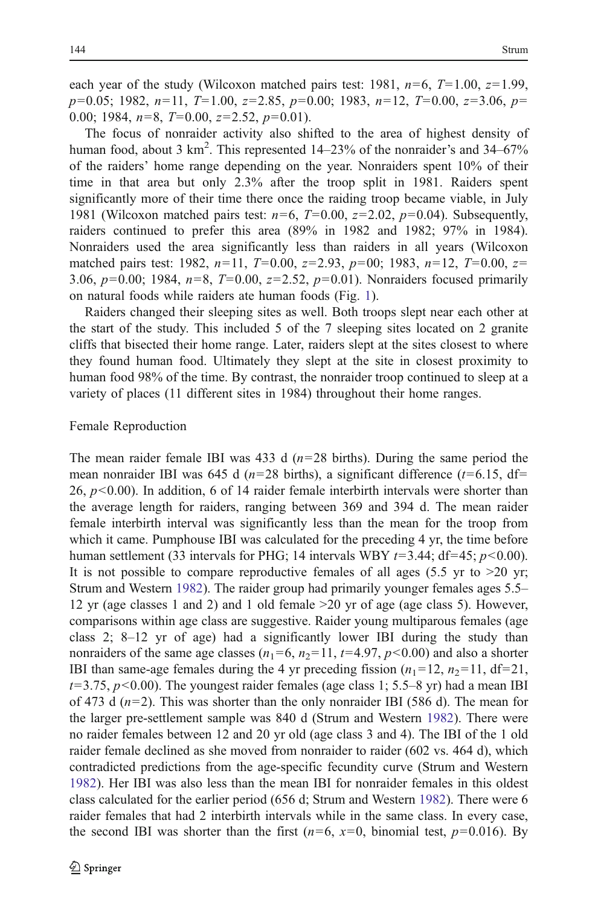each year of the study (Wilcoxon matched pairs test: 1981,  $n=6$ ,  $T=1.00$ ,  $z=1.99$ ,  $p=0.05$ ; 1982,  $n=11$ ,  $T=1.00$ ,  $z=2.85$ ,  $p=0.00$ ; 1983,  $n=12$ ,  $T=0.00$ ,  $z=3.06$ ,  $p=$ 0.00; 1984,  $n=8$ ,  $T=0.00$ ,  $z=2.52$ ,  $p=0.01$ ).

The focus of nonraider activity also shifted to the area of highest density of human food, about 3  $km^2$ . This represented 14–23% of the nonraider's and 34–67% of the raiders' home range depending on the year. Nonraiders spent 10% of their time in that area but only 2.3% after the troop split in 1981. Raiders spent significantly more of their time there once the raiding troop became viable, in July 1981 (Wilcoxon matched pairs test:  $n=6$ ,  $T=0.00$ ,  $z=2.02$ ,  $p=0.04$ ). Subsequently, raiders continued to prefer this area (89% in 1982 and 1982; 97% in 1984). Nonraiders used the area significantly less than raiders in all years (Wilcoxon matched pairs test: 1982,  $n=11$ ,  $T=0.00$ ,  $z=2.93$ ,  $p=00$ ; 1983,  $n=12$ ,  $T=0.00$ ,  $z=$ 3.06,  $p=0.00$ ; 1984,  $n=8$ ,  $T=0.00$ ,  $z=2.52$ ,  $p=0.01$ ). Nonraiders focused primarily on natural foods while raiders ate human foods (Fig. [1](#page-6-0)).

Raiders changed their sleeping sites as well. Both troops slept near each other at the start of the study. This included 5 of the 7 sleeping sites located on 2 granite cliffs that bisected their home range. Later, raiders slept at the sites closest to where they found human food. Ultimately they slept at the site in closest proximity to human food 98% of the time. By contrast, the nonraider troop continued to sleep at a variety of places (11 different sites in 1984) throughout their home ranges.

#### Female Reproduction

The mean raider female IBI was 433 d  $(n=28 \text{ births})$ . During the same period the mean nonraider IBI was 645 d ( $n=28$  births), a significant difference ( $t=6.15$ , df= 26,  $p<0.00$ ). In addition, 6 of 14 raider female interbirth intervals were shorter than the average length for raiders, ranging between 369 and 394 d. The mean raider female interbirth interval was significantly less than the mean for the troop from which it came. Pumphouse IBI was calculated for the preceding 4 yr, the time before human settlement (33 intervals for PHG; 14 intervals WBY  $t=3.44$ ; df=45;  $p<0.00$ ). It is not possible to compare reproductive females of all ages (5.5 yr to  $>20$  yr; Strum and Western [1982](#page-23-0)). The raider group had primarily younger females ages 5.5– 12 yr (age classes 1 and 2) and 1 old female >20 yr of age (age class 5). However, comparisons within age class are suggestive. Raider young multiparous females (age class 2; 8–12 yr of age) had a significantly lower IBI during the study than nonraiders of the same age classes  $(n_1=6, n_2=11, t=4.97, p<0.00)$  and also a shorter IBI than same-age females during the 4 yr preceding fission  $(n_1=12, n_2=11, df=21,$  $t=3.75$ ,  $p<0.00$ ). The youngest raider females (age class 1; 5.5–8 yr) had a mean IBI of 473 d  $(n=2)$ . This was shorter than the only nonraider IBI (586 d). The mean for the larger pre-settlement sample was 840 d (Strum and Western [1982\)](#page-23-0). There were no raider females between 12 and 20 yr old (age class 3 and 4). The IBI of the 1 old raider female declined as she moved from nonraider to raider (602 vs. 464 d), which contradicted predictions from the age-specific fecundity curve (Strum and Western [1982\)](#page-23-0). Her IBI was also less than the mean IBI for nonraider females in this oldest class calculated for the earlier period (656 d; Strum and Western [1982\)](#page-23-0). There were 6 raider females that had 2 interbirth intervals while in the same class. In every case, the second IBI was shorter than the first ( $n=6$ ,  $x=0$ , binomial test,  $p=0.016$ ). By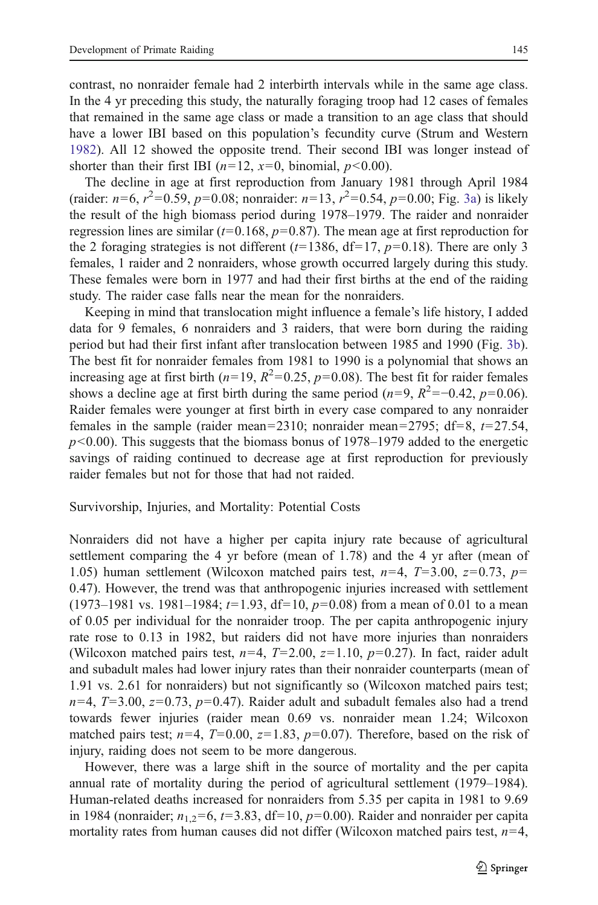contrast, no nonraider female had 2 interbirth intervals while in the same age class. In the 4 yr preceding this study, the naturally foraging troop had 12 cases of females that remained in the same age class or made a transition to an age class that should have a lower IBI based on this population's fecundity curve (Strum and Western [1982\)](#page-23-0). All 12 showed the opposite trend. Their second IBI was longer instead of shorter than their first IBI ( $n=12$ ,  $x=0$ , binomial,  $p<0.00$ ).

The decline in age at first reproduction from January 1981 through April 1984 (raider:  $n=6$ ,  $r^2=0.59$ ,  $p=0.08$ ; nonraider:  $n=13$ ,  $r^2=0.54$ ,  $p=0.00$ ; Fig. [3a](#page-13-0)) is likely the result of the high biomass period during 1978–1979. The raider and nonraider regression lines are similar ( $t=0.168$ ,  $p=0.87$ ). The mean age at first reproduction for the 2 foraging strategies is not different ( $t=1386$ ,  $df=17$ ,  $p=0.18$ ). There are only 3 females, 1 raider and 2 nonraiders, whose growth occurred largely during this study. These females were born in 1977 and had their first births at the end of the raiding study. The raider case falls near the mean for the nonraiders.

Keeping in mind that translocation might influence a female's life history, I added data for 9 females, 6 nonraiders and 3 raiders, that were born during the raiding period but had their first infant after translocation between 1985 and 1990 (Fig. [3b\)](#page-13-0). The best fit for nonraider females from 1981 to 1990 is a polynomial that shows an increasing age at first birth ( $n=19$ ,  $R^2=0.25$ ,  $p=0.08$ ). The best fit for raider females shows a decline age at first birth during the same period ( $n=9$ ,  $R^2 = -0.42$ ,  $p=0.06$ ). Raider females were younger at first birth in every case compared to any nonraider females in the sample (raider mean=2310; nonraider mean=2795;  $df=8$ ,  $t=27.54$ ,  $p<0.00$ ). This suggests that the biomass bonus of 1978–1979 added to the energetic savings of raiding continued to decrease age at first reproduction for previously raider females but not for those that had not raided.

#### Survivorship, Injuries, and Mortality: Potential Costs

Nonraiders did not have a higher per capita injury rate because of agricultural settlement comparing the 4 yr before (mean of 1.78) and the 4 yr after (mean of 1.05) human settlement (Wilcoxon matched pairs test,  $n=4$ ,  $T=3.00$ ,  $z=0.73$ ,  $p=$ 0.47). However, the trend was that anthropogenic injuries increased with settlement (1973–1981 vs. 1981–1984;  $t=1.93$ , df=10,  $p=0.08$ ) from a mean of 0.01 to a mean of 0.05 per individual for the nonraider troop. The per capita anthropogenic injury rate rose to 0.13 in 1982, but raiders did not have more injuries than nonraiders (Wilcoxon matched pairs test,  $n=4$ ,  $T=2.00$ ,  $z=1.10$ ,  $p=0.27$ ). In fact, raider adult and subadult males had lower injury rates than their nonraider counterparts (mean of 1.91 vs. 2.61 for nonraiders) but not significantly so (Wilcoxon matched pairs test;  $n=4$ ,  $T=3.00$ ,  $z=0.73$ ,  $p=0.47$ ). Raider adult and subadult females also had a trend towards fewer injuries (raider mean 0.69 vs. nonraider mean 1.24; Wilcoxon matched pairs test;  $n=4$ ,  $T=0.00$ ,  $z=1.83$ ,  $p=0.07$ ). Therefore, based on the risk of injury, raiding does not seem to be more dangerous.

However, there was a large shift in the source of mortality and the per capita annual rate of mortality during the period of agricultural settlement (1979–1984). Human-related deaths increased for nonraiders from 5.35 per capita in 1981 to 9.69 in 1984 (nonraider;  $n_{1,2}=6$ ,  $t=3.83$ , df=10,  $p=0.00$ ). Raider and nonraider per capita mortality rates from human causes did not differ (Wilcoxon matched pairs test,  $n=4$ ,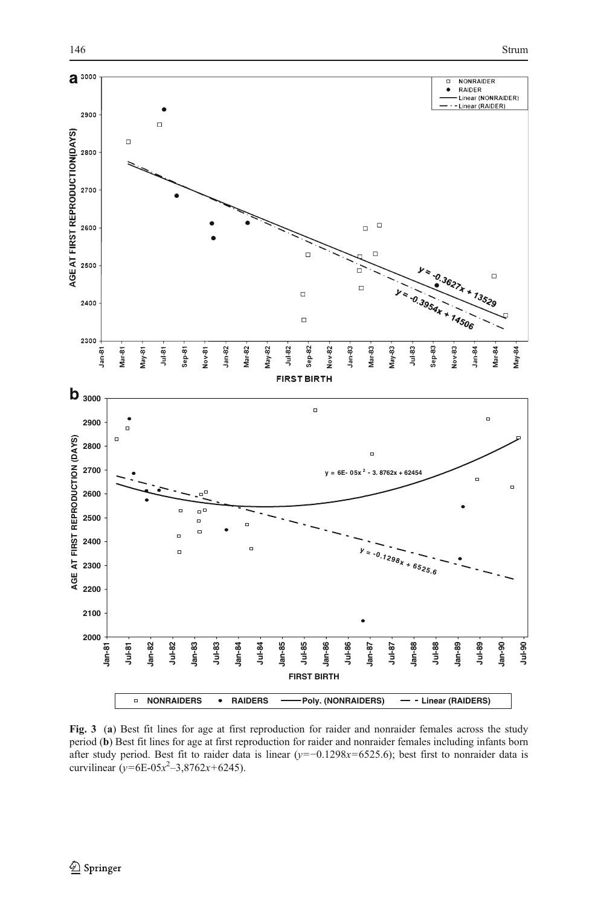<span id="page-13-0"></span>

Fig. 3 (a) Best fit lines for age at first reproduction for raider and nonraider females across the study period (b) Best fit lines for age at first reproduction for raider and nonraider females including infants born after study period. Best fit to raider data is linear  $(y=-0.1298x=6525.6)$ ; best first to nonraider data is curvilinear  $(y=6E-0.5x^2-3.8762x+6245)$ .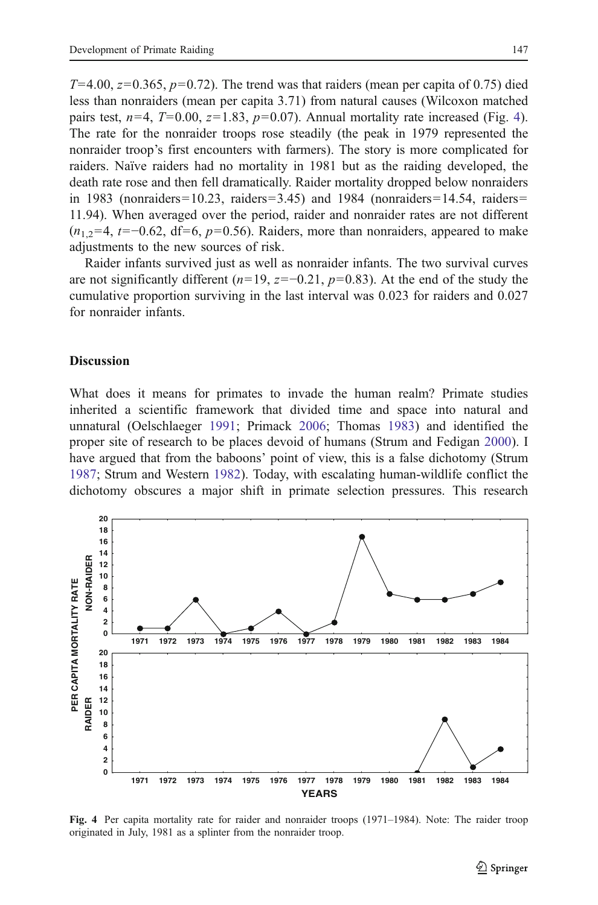$T=4.00$ ,  $z=0.365$ ,  $p=0.72$ ). The trend was that raiders (mean per capita of 0.75) died less than nonraiders (mean per capita 3.71) from natural causes (Wilcoxon matched pairs test,  $n=4$ ,  $T=0.00$ ,  $z=1.83$ ,  $p=0.07$ ). Annual mortality rate increased (Fig. 4). The rate for the nonraider troops rose steadily (the peak in 1979 represented the nonraider troop's first encounters with farmers). The story is more complicated for raiders. Naïve raiders had no mortality in 1981 but as the raiding developed, the death rate rose and then fell dramatically. Raider mortality dropped below nonraiders in 1983 (nonraiders=10.23, raiders=3.45) and 1984 (nonraiders=14.54, raiders= 11.94). When averaged over the period, raider and nonraider rates are not different  $(n_{1,2}=4, t=-0.62, df=6, p=0.56)$ . Raiders, more than nonraiders, appeared to make adjustments to the new sources of risk.

Raider infants survived just as well as nonraider infants. The two survival curves are not significantly different  $(n=19, z=-0.21, p=0.83)$ . At the end of the study the cumulative proportion surviving in the last interval was 0.023 for raiders and 0.027 for nonraider infants.

#### **Discussion**

What does it means for primates to invade the human realm? Primate studies inherited a scientific framework that divided time and space into natural and unnatural (Oelschlaeger [1991;](#page-22-0) Primack [2006;](#page-22-0) Thomas [1983](#page-23-0)) and identified the proper site of research to be places devoid of humans (Strum and Fedigan [2000](#page-23-0)). I have argued that from the baboons' point of view, this is a false dichotomy (Strum [1987;](#page-23-0) Strum and Western [1982\)](#page-23-0). Today, with escalating human-wildlife conflict the dichotomy obscures a major shift in primate selection pressures. This research



Fig. 4 Per capita mortality rate for raider and nonraider troops (1971–1984). Note: The raider troop originated in July, 1981 as a splinter from the nonraider troop.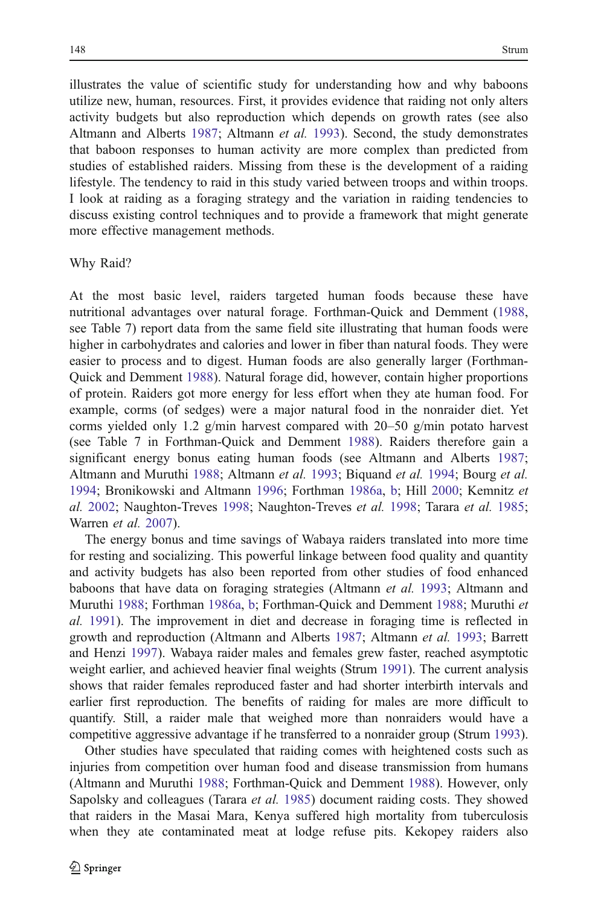illustrates the value of scientific study for understanding how and why baboons utilize new, human, resources. First, it provides evidence that raiding not only alters activity budgets but also reproduction which depends on growth rates (see also Altmann and Alberts [1987](#page-20-0); Altmann et al. [1993](#page-20-0)). Second, the study demonstrates that baboon responses to human activity are more complex than predicted from studies of established raiders. Missing from these is the development of a raiding lifestyle. The tendency to raid in this study varied between troops and within troops. I look at raiding as a foraging strategy and the variation in raiding tendencies to discuss existing control techniques and to provide a framework that might generate more effective management methods.

#### Why Raid?

At the most basic level, raiders targeted human foods because these have nutritional advantages over natural forage. Forthman-Quick and Demment ([1988,](#page-21-0) see Table 7) report data from the same field site illustrating that human foods were higher in carbohydrates and calories and lower in fiber than natural foods. They were easier to process and to digest. Human foods are also generally larger (Forthman-Quick and Demment [1988\)](#page-21-0). Natural forage did, however, contain higher proportions of protein. Raiders got more energy for less effort when they ate human food. For example, corms (of sedges) were a major natural food in the nonraider diet. Yet corms yielded only 1.2 g/min harvest compared with 20–50 g/min potato harvest (see Table 7 in Forthman-Quick and Demment [1988\)](#page-21-0). Raiders therefore gain a significant energy bonus eating human foods (see Altmann and Alberts [1987;](#page-20-0) Altmann and Muruthi [1988;](#page-20-0) Altmann et al. [1993](#page-20-0); Biquand et al. [1994](#page-20-0); Bourg et al. [1994;](#page-20-0) Bronikowski and Altmann [1996](#page-20-0); Forthman [1986a](#page-21-0), [b](#page-21-0); Hill [2000](#page-21-0); Kemnitz et al. [2002;](#page-22-0) Naughton-Treves [1998](#page-22-0); Naughton-Treves et al. [1998;](#page-22-0) Tarara et al. [1985;](#page-23-0) Warren et al. [2007\)](#page-23-0).

The energy bonus and time savings of Wabaya raiders translated into more time for resting and socializing. This powerful linkage between food quality and quantity and activity budgets has also been reported from other studies of food enhanced baboons that have data on foraging strategies (Altmann et al. [1993;](#page-20-0) Altmann and Muruthi [1988](#page-20-0); Forthman [1986a](#page-21-0), [b;](#page-21-0) Forthman-Quick and Demment [1988;](#page-21-0) Muruthi et al. [1991](#page-22-0)). The improvement in diet and decrease in foraging time is reflected in growth and reproduction (Altmann and Alberts [1987](#page-20-0); Altmann et al. [1993;](#page-20-0) Barrett and Henzi [1997\)](#page-20-0). Wabaya raider males and females grew faster, reached asymptotic weight earlier, and achieved heavier final weights (Strum [1991\)](#page-23-0). The current analysis shows that raider females reproduced faster and had shorter interbirth intervals and earlier first reproduction. The benefits of raiding for males are more difficult to quantify. Still, a raider male that weighed more than nonraiders would have a competitive aggressive advantage if he transferred to a nonraider group (Strum [1993\)](#page-23-0).

Other studies have speculated that raiding comes with heightened costs such as injuries from competition over human food and disease transmission from humans (Altmann and Muruthi [1988](#page-20-0); Forthman-Quick and Demment [1988](#page-21-0)). However, only Sapolsky and colleagues (Tarara et al. [1985\)](#page-23-0) document raiding costs. They showed that raiders in the Masai Mara, Kenya suffered high mortality from tuberculosis when they ate contaminated meat at lodge refuse pits. Kekopey raiders also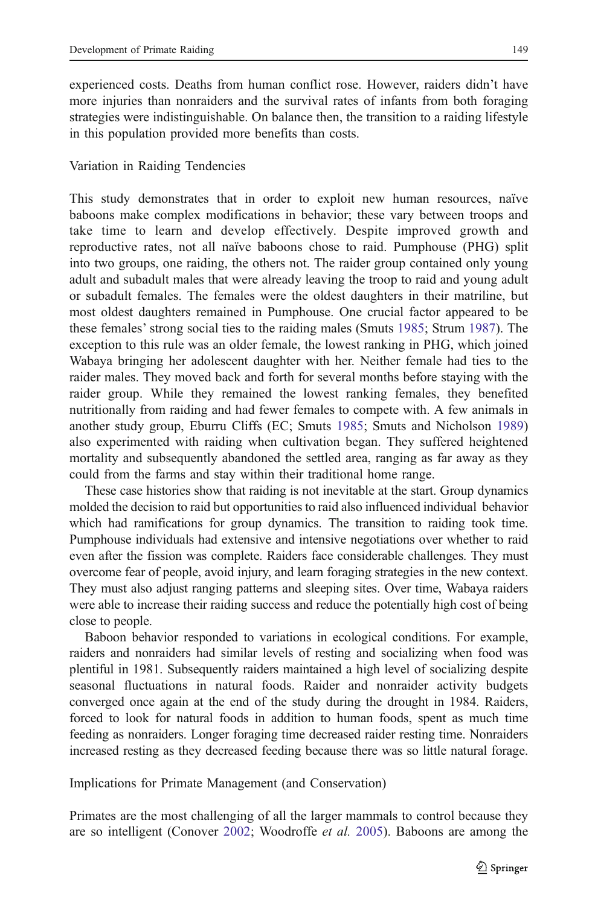experienced costs. Deaths from human conflict rose. However, raiders didn't have more injuries than nonraiders and the survival rates of infants from both foraging strategies were indistinguishable. On balance then, the transition to a raiding lifestyle in this population provided more benefits than costs.

## Variation in Raiding Tendencies

This study demonstrates that in order to exploit new human resources, naïve baboons make complex modifications in behavior; these vary between troops and take time to learn and develop effectively. Despite improved growth and reproductive rates, not all naïve baboons chose to raid. Pumphouse (PHG) split into two groups, one raiding, the others not. The raider group contained only young adult and subadult males that were already leaving the troop to raid and young adult or subadult females. The females were the oldest daughters in their matriline, but most oldest daughters remained in Pumphouse. One crucial factor appeared to be these females' strong social ties to the raiding males (Smuts [1985](#page-23-0); Strum [1987](#page-23-0)). The exception to this rule was an older female, the lowest ranking in PHG, which joined Wabaya bringing her adolescent daughter with her. Neither female had ties to the raider males. They moved back and forth for several months before staying with the raider group. While they remained the lowest ranking females, they benefited nutritionally from raiding and had fewer females to compete with. A few animals in another study group, Eburru Cliffs (EC; Smuts [1985](#page-23-0); Smuts and Nicholson [1989](#page-23-0)) also experimented with raiding when cultivation began. They suffered heightened mortality and subsequently abandoned the settled area, ranging as far away as they could from the farms and stay within their traditional home range.

These case histories show that raiding is not inevitable at the start. Group dynamics molded the decision to raid but opportunities to raid also influenced individual behavior which had ramifications for group dynamics. The transition to raiding took time. Pumphouse individuals had extensive and intensive negotiations over whether to raid even after the fission was complete. Raiders face considerable challenges. They must overcome fear of people, avoid injury, and learn foraging strategies in the new context. They must also adjust ranging patterns and sleeping sites. Over time, Wabaya raiders were able to increase their raiding success and reduce the potentially high cost of being close to people.

Baboon behavior responded to variations in ecological conditions. For example, raiders and nonraiders had similar levels of resting and socializing when food was plentiful in 1981. Subsequently raiders maintained a high level of socializing despite seasonal fluctuations in natural foods. Raider and nonraider activity budgets converged once again at the end of the study during the drought in 1984. Raiders, forced to look for natural foods in addition to human foods, spent as much time feeding as nonraiders. Longer foraging time decreased raider resting time. Nonraiders increased resting as they decreased feeding because there was so little natural forage.

Implications for Primate Management (and Conservation)

Primates are the most challenging of all the larger mammals to control because they are so intelligent (Conover [2002](#page-21-0); Woodroffe *et al.* [2005\)](#page-23-0). Baboons are among the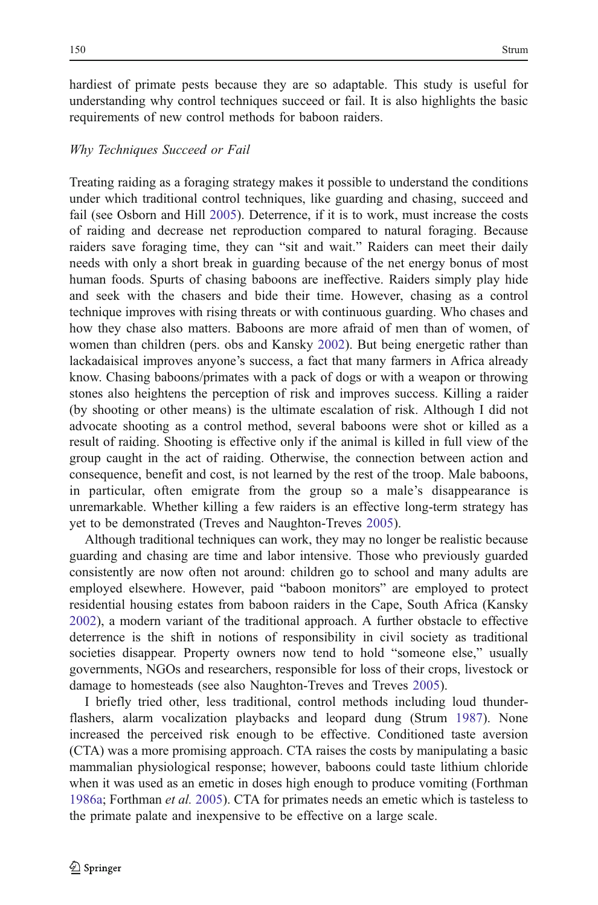hardiest of primate pests because they are so adaptable. This study is useful for understanding why control techniques succeed or fail. It is also highlights the basic requirements of new control methods for baboon raiders.

## Why Techniques Succeed or Fail

Treating raiding as a foraging strategy makes it possible to understand the conditions under which traditional control techniques, like guarding and chasing, succeed and fail (see Osborn and Hill [2005](#page-22-0)). Deterrence, if it is to work, must increase the costs of raiding and decrease net reproduction compared to natural foraging. Because raiders save foraging time, they can "sit and wait." Raiders can meet their daily needs with only a short break in guarding because of the net energy bonus of most human foods. Spurts of chasing baboons are ineffective. Raiders simply play hide and seek with the chasers and bide their time. However, chasing as a control technique improves with rising threats or with continuous guarding. Who chases and how they chase also matters. Baboons are more afraid of men than of women, of women than children (pers. obs and Kansky [2002\)](#page-22-0). But being energetic rather than lackadaisical improves anyone's success, a fact that many farmers in Africa already know. Chasing baboons/primates with a pack of dogs or with a weapon or throwing stones also heightens the perception of risk and improves success. Killing a raider (by shooting or other means) is the ultimate escalation of risk. Although I did not advocate shooting as a control method, several baboons were shot or killed as a result of raiding. Shooting is effective only if the animal is killed in full view of the group caught in the act of raiding. Otherwise, the connection between action and consequence, benefit and cost, is not learned by the rest of the troop. Male baboons, in particular, often emigrate from the group so a male's disappearance is unremarkable. Whether killing a few raiders is an effective long-term strategy has yet to be demonstrated (Treves and Naughton-Treves [2005](#page-23-0)).

Although traditional techniques can work, they may no longer be realistic because guarding and chasing are time and labor intensive. Those who previously guarded consistently are now often not around: children go to school and many adults are employed elsewhere. However, paid "baboon monitors" are employed to protect residential housing estates from baboon raiders in the Cape, South Africa (Kansky [2002\)](#page-22-0), a modern variant of the traditional approach. A further obstacle to effective deterrence is the shift in notions of responsibility in civil society as traditional societies disappear. Property owners now tend to hold "someone else," usually governments, NGOs and researchers, responsible for loss of their crops, livestock or damage to homesteads (see also Naughton-Treves and Treves [2005](#page-22-0)).

I briefly tried other, less traditional, control methods including loud thunderflashers, alarm vocalization playbacks and leopard dung (Strum [1987\)](#page-23-0). None increased the perceived risk enough to be effective. Conditioned taste aversion (CTA) was a more promising approach. CTA raises the costs by manipulating a basic mammalian physiological response; however, baboons could taste lithium chloride when it was used as an emetic in doses high enough to produce vomiting (Forthman [1986a](#page-21-0); Forthman et al. [2005\)](#page-21-0). CTA for primates needs an emetic which is tasteless to the primate palate and inexpensive to be effective on a large scale.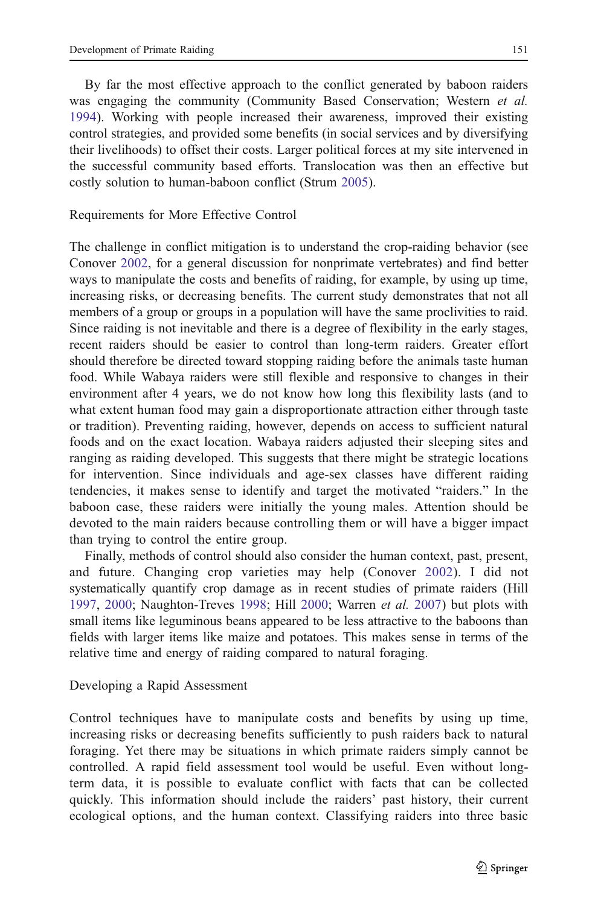By far the most effective approach to the conflict generated by baboon raiders was engaging the community (Community Based Conservation; Western et al. [1994\)](#page-23-0). Working with people increased their awareness, improved their existing control strategies, and provided some benefits (in social services and by diversifying their livelihoods) to offset their costs. Larger political forces at my site intervened in the successful community based efforts. Translocation was then an effective but costly solution to human-baboon conflict (Strum [2005\)](#page-23-0).

# Requirements for More Effective Control

The challenge in conflict mitigation is to understand the crop-raiding behavior (see Conover [2002,](#page-21-0) for a general discussion for nonprimate vertebrates) and find better ways to manipulate the costs and benefits of raiding, for example, by using up time, increasing risks, or decreasing benefits. The current study demonstrates that not all members of a group or groups in a population will have the same proclivities to raid. Since raiding is not inevitable and there is a degree of flexibility in the early stages, recent raiders should be easier to control than long-term raiders. Greater effort should therefore be directed toward stopping raiding before the animals taste human food. While Wabaya raiders were still flexible and responsive to changes in their environment after 4 years, we do not know how long this flexibility lasts (and to what extent human food may gain a disproportionate attraction either through taste or tradition). Preventing raiding, however, depends on access to sufficient natural foods and on the exact location. Wabaya raiders adjusted their sleeping sites and ranging as raiding developed. This suggests that there might be strategic locations for intervention. Since individuals and age-sex classes have different raiding tendencies, it makes sense to identify and target the motivated "raiders." In the baboon case, these raiders were initially the young males. Attention should be devoted to the main raiders because controlling them or will have a bigger impact than trying to control the entire group.

Finally, methods of control should also consider the human context, past, present, and future. Changing crop varieties may help (Conover [2002](#page-21-0)). I did not systematically quantify crop damage as in recent studies of primate raiders (Hill [1997,](#page-21-0) [2000](#page-21-0); Naughton-Treves [1998](#page-22-0); Hill [2000](#page-21-0); Warren et al. [2007\)](#page-23-0) but plots with small items like leguminous beans appeared to be less attractive to the baboons than fields with larger items like maize and potatoes. This makes sense in terms of the relative time and energy of raiding compared to natural foraging.

Developing a Rapid Assessment

Control techniques have to manipulate costs and benefits by using up time, increasing risks or decreasing benefits sufficiently to push raiders back to natural foraging. Yet there may be situations in which primate raiders simply cannot be controlled. A rapid field assessment tool would be useful. Even without longterm data, it is possible to evaluate conflict with facts that can be collected quickly. This information should include the raiders' past history, their current ecological options, and the human context. Classifying raiders into three basic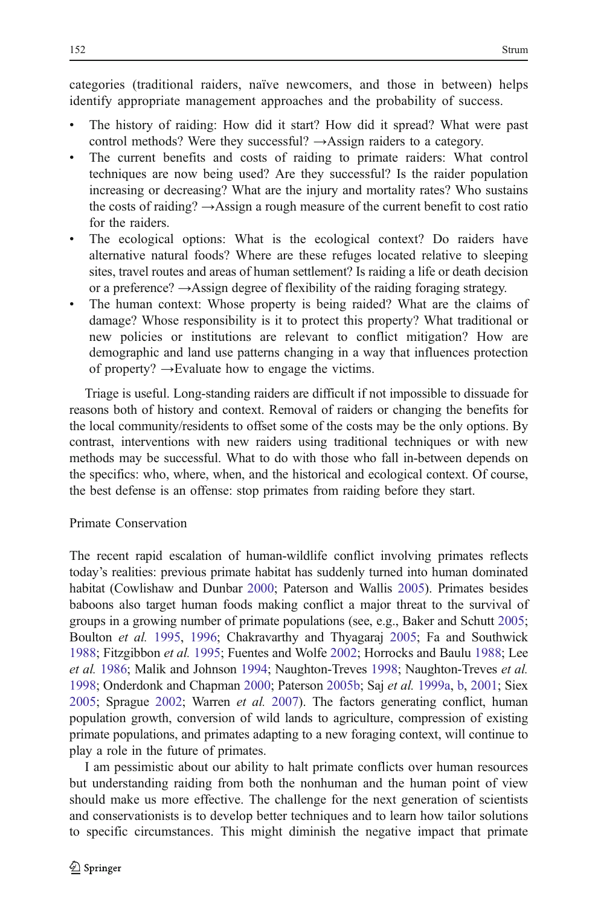categories (traditional raiders, naïve newcomers, and those in between) helps identify appropriate management approaches and the probability of success.

- & The history of raiding: How did it start? How did it spread? What were past control methods? Were they successful?  $\rightarrow$ Assign raiders to a category.
- The current benefits and costs of raiding to primate raiders: What control techniques are now being used? Are they successful? Is the raider population increasing or decreasing? What are the injury and mortality rates? Who sustains the costs of raiding?  $\rightarrow$ Assign a rough measure of the current benefit to cost ratio for the raiders.
- & The ecological options: What is the ecological context? Do raiders have alternative natural foods? Where are these refuges located relative to sleeping sites, travel routes and areas of human settlement? Is raiding a life or death decision or a preference?  $\rightarrow$ Assign degree of flexibility of the raiding foraging strategy.
- The human context: Whose property is being raided? What are the claims of damage? Whose responsibility is it to protect this property? What traditional or new policies or institutions are relevant to conflict mitigation? How are demographic and land use patterns changing in a way that influences protection of property?  $\rightarrow$  Evaluate how to engage the victims.

Triage is useful. Long-standing raiders are difficult if not impossible to dissuade for reasons both of history and context. Removal of raiders or changing the benefits for the local community/residents to offset some of the costs may be the only options. By contrast, interventions with new raiders using traditional techniques or with new methods may be successful. What to do with those who fall in-between depends on the specifics: who, where, when, and the historical and ecological context. Of course, the best defense is an offense: stop primates from raiding before they start.

# Primate Conservation

The recent rapid escalation of human-wildlife conflict involving primates reflects today's realities: previous primate habitat has suddenly turned into human dominated habitat (Cowlishaw and Dunbar [2000](#page-21-0); Paterson and Wallis [2005](#page-22-0)). Primates besides baboons also target human foods making conflict a major threat to the survival of groups in a growing number of primate populations (see, e.g., Baker and Schutt [2005;](#page-20-0) Boulton et al. [1995,](#page-20-0) [1996](#page-20-0); Chakravarthy and Thyagaraj [2005](#page-21-0); Fa and Southwick [1988;](#page-21-0) Fitzgibbon et al. [1995](#page-21-0); Fuentes and Wolfe [2002](#page-21-0); Horrocks and Baulu [1988;](#page-22-0) Lee et al. [1986](#page-22-0); Malik and Johnson [1994;](#page-22-0) Naughton-Treves [1998](#page-22-0); Naughton-Treves et al. [1998;](#page-22-0) Onderdonk and Chapman [2000;](#page-22-0) Paterson [2005b;](#page-22-0) Saj et al. [1999a](#page-22-0), [b](#page-23-0), [2001;](#page-23-0) Siex [2005;](#page-23-0) Sprague [2002;](#page-23-0) Warren et al. [2007](#page-23-0)). The factors generating conflict, human population growth, conversion of wild lands to agriculture, compression of existing primate populations, and primates adapting to a new foraging context, will continue to play a role in the future of primates.

I am pessimistic about our ability to halt primate conflicts over human resources but understanding raiding from both the nonhuman and the human point of view should make us more effective. The challenge for the next generation of scientists and conservationists is to develop better techniques and to learn how tailor solutions to specific circumstances. This might diminish the negative impact that primate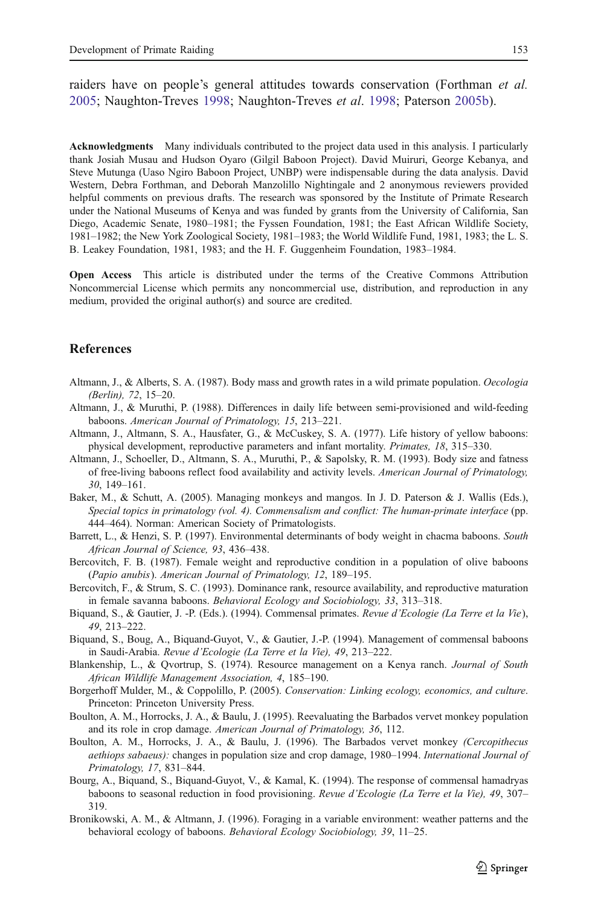<span id="page-20-0"></span>Acknowledgments Many individuals contributed to the project data used in this analysis. I particularly thank Josiah Musau and Hudson Oyaro (Gilgil Baboon Project). David Muiruri, George Kebanya, and Steve Mutunga (Uaso Ngiro Baboon Project, UNBP) were indispensable during the data analysis. David Western, Debra Forthman, and Deborah Manzolillo Nightingale and 2 anonymous reviewers provided helpful comments on previous drafts. The research was sponsored by the Institute of Primate Research under the National Museums of Kenya and was funded by grants from the University of California, San Diego, Academic Senate, 1980–1981; the Fyssen Foundation, 1981; the East African Wildlife Society, 1981–1982; the New York Zoological Society, 1981–1983; the World Wildlife Fund, 1981, 1983; the L. S. B. Leakey Foundation, 1981, 1983; and the H. F. Guggenheim Foundation, 1983–1984.

Open Access This article is distributed under the terms of the Creative Commons Attribution Noncommercial License which permits any noncommercial use, distribution, and reproduction in any medium, provided the original author(s) and source are credited.

# References

- Altmann, J., & Alberts, S. A. (1987). Body mass and growth rates in a wild primate population. Oecologia (Berlin), 72, 15–20.
- Altmann, J., & Muruthi, P. (1988). Differences in daily life between semi-provisioned and wild-feeding baboons. American Journal of Primatology, 15, 213–221.
- Altmann, J., Altmann, S. A., Hausfater, G., & McCuskey, S. A. (1977). Life history of yellow baboons: physical development, reproductive parameters and infant mortality. Primates, 18, 315–330.
- Altmann, J., Schoeller, D., Altmann, S. A., Muruthi, P., & Sapolsky, R. M. (1993). Body size and fatness of free-living baboons reflect food availability and activity levels. American Journal of Primatology, 30, 149–161.
- Baker, M., & Schutt, A. (2005). Managing monkeys and mangos. In J. D. Paterson & J. Wallis (Eds.), Special topics in primatology (vol. 4). Commensalism and conflict: The human-primate interface (pp. 444–464). Norman: American Society of Primatologists.
- Barrett, L., & Henzi, S. P. (1997). Environmental determinants of body weight in chacma baboons. South African Journal of Science, 93, 436–438.
- Bercovitch, F. B. (1987). Female weight and reproductive condition in a population of olive baboons (Papio anubis). American Journal of Primatology, 12, 189–195.
- Bercovitch, F., & Strum, S. C. (1993). Dominance rank, resource availability, and reproductive maturation in female savanna baboons. Behavioral Ecology and Sociobiology, 33, 313–318.
- Biquand, S., & Gautier, J. -P. (Eds.). (1994). Commensal primates. Revue d'Ecologie (La Terre et la Vie), 49, 213–222.
- Biquand, S., Boug, A., Biquand-Guyot, V., & Gautier, J.-P. (1994). Management of commensal baboons in Saudi-Arabia. Revue d'Ecologie (La Terre et la Vie), 49, 213–222.
- Blankenship, L., & Qvortrup, S. (1974). Resource management on a Kenya ranch. Journal of South African Wildlife Management Association, 4, 185–190.
- Borgerhoff Mulder, M., & Coppolillo, P. (2005). Conservation: Linking ecology, economics, and culture. Princeton: Princeton University Press.
- Boulton, A. M., Horrocks, J. A., & Baulu, J. (1995). Reevaluating the Barbados vervet monkey population and its role in crop damage. American Journal of Primatology, 36, 112.
- Boulton, A. M., Horrocks, J. A., & Baulu, J. (1996). The Barbados vervet monkey (Cercopithecus aethiops sabaeus): changes in population size and crop damage, 1980–1994. International Journal of Primatology, 17, 831–844.
- Bourg, A., Biquand, S., Biquand-Guyot, V., & Kamal, K. (1994). The response of commensal hamadryas baboons to seasonal reduction in food provisioning. Revue d'Ecologie (La Terre et la Vie), 49, 307-319.
- Bronikowski, A. M., & Altmann, J. (1996). Foraging in a variable environment: weather patterns and the behavioral ecology of baboons. Behavioral Ecology Sociobiology, 39, 11–25.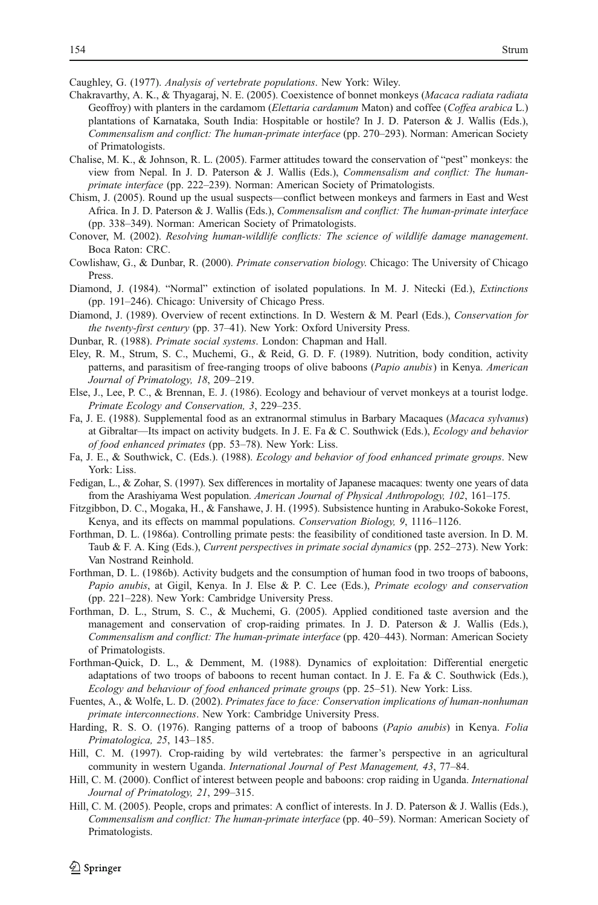<span id="page-21-0"></span>Caughley, G. (1977). Analysis of vertebrate populations. New York: Wiley.

- Chakravarthy, A. K., & Thyagaraj, N. E. (2005). Coexistence of bonnet monkeys (Macaca radiata radiata Geoffroy) with planters in the cardamom (*Elettaria cardamum* Maton) and coffee (*Coffea arabica* L.) plantations of Karnataka, South India: Hospitable or hostile? In J. D. Paterson & J. Wallis (Eds.), Commensalism and conflict: The human-primate interface (pp. 270–293). Norman: American Society of Primatologists.
- Chalise, M. K., & Johnson, R. L. (2005). Farmer attitudes toward the conservation of "pest" monkeys: the view from Nepal. In J. D. Paterson & J. Wallis (Eds.), Commensalism and conflict: The humanprimate interface (pp. 222–239). Norman: American Society of Primatologists.
- Chism, J. (2005). Round up the usual suspects—conflict between monkeys and farmers in East and West Africa. In J. D. Paterson & J. Wallis (Eds.), Commensalism and conflict: The human-primate interface (pp. 338–349). Norman: American Society of Primatologists.
- Conover, M. (2002). Resolving human-wildlife conflicts: The science of wildlife damage management. Boca Raton: CRC.
- Cowlishaw, G., & Dunbar, R. (2000). Primate conservation biology. Chicago: The University of Chicago Press.
- Diamond, J. (1984). "Normal" extinction of isolated populations. In M. J. Nitecki (Ed.), Extinctions (pp. 191–246). Chicago: University of Chicago Press.
- Diamond, J. (1989). Overview of recent extinctions. In D. Western & M. Pearl (Eds.), Conservation for the twenty-first century (pp. 37–41). New York: Oxford University Press.
- Dunbar, R. (1988). Primate social systems. London: Chapman and Hall.
- Eley, R. M., Strum, S. C., Muchemi, G., & Reid, G. D. F. (1989). Nutrition, body condition, activity patterns, and parasitism of free-ranging troops of olive baboons (Papio anubis) in Kenya. American Journal of Primatology, 18, 209–219.
- Else, J., Lee, P. C., & Brennan, E. J. (1986). Ecology and behaviour of vervet monkeys at a tourist lodge. Primate Ecology and Conservation, 3, 229–235.
- Fa, J. E. (1988). Supplemental food as an extranormal stimulus in Barbary Macaques (Macaca sylvanus) at Gibraltar—Its impact on activity budgets. In J. E. Fa & C. Southwick (Eds.), Ecology and behavior of food enhanced primates (pp. 53–78). New York: Liss.
- Fa, J. E., & Southwick, C. (Eds.). (1988). Ecology and behavior of food enhanced primate groups. New York: Liss.
- Fedigan, L., & Zohar, S. (1997). Sex differences in mortality of Japanese macaques: twenty one years of data from the Arashiyama West population. American Journal of Physical Anthropology, 102, 161–175.
- Fitzgibbon, D. C., Mogaka, H., & Fanshawe, J. H. (1995). Subsistence hunting in Arabuko-Sokoke Forest, Kenya, and its effects on mammal populations. Conservation Biology, 9, 1116–1126.
- Forthman, D. L. (1986a). Controlling primate pests: the feasibility of conditioned taste aversion. In D. M. Taub & F. A. King (Eds.), Current perspectives in primate social dynamics (pp. 252–273). New York: Van Nostrand Reinhold.
- Forthman, D. L. (1986b). Activity budgets and the consumption of human food in two troops of baboons, Papio anubis, at Gigil, Kenya. In J. Else & P. C. Lee (Eds.), Primate ecology and conservation (pp. 221–228). New York: Cambridge University Press.
- Forthman, D. L., Strum, S. C., & Muchemi, G. (2005). Applied conditioned taste aversion and the management and conservation of crop-raiding primates. In J. D. Paterson & J. Wallis (Eds.), Commensalism and conflict: The human-primate interface (pp. 420–443). Norman: American Society of Primatologists.
- Forthman-Quick, D. L., & Demment, M. (1988). Dynamics of exploitation: Differential energetic adaptations of two troops of baboons to recent human contact. In J. E. Fa & C. Southwick (Eds.), Ecology and behaviour of food enhanced primate groups (pp. 25–51). New York: Liss.
- Fuentes, A., & Wolfe, L. D. (2002). Primates face to face: Conservation implications of human-nonhuman primate interconnections. New York: Cambridge University Press.
- Harding, R. S. O. (1976). Ranging patterns of a troop of baboons (Papio anubis) in Kenya. Folia Primatologica, 25, 143–185.
- Hill, C. M. (1997). Crop-raiding by wild vertebrates: the farmer's perspective in an agricultural community in western Uganda. International Journal of Pest Management, 43, 77–84.
- Hill, C. M. (2000). Conflict of interest between people and baboons: crop raiding in Uganda. International Journal of Primatology, 21, 299–315.
- Hill, C. M. (2005). People, crops and primates: A conflict of interests. In J. D. Paterson & J. Wallis (Eds.), Commensalism and conflict: The human-primate interface (pp. 40–59). Norman: American Society of Primatologists.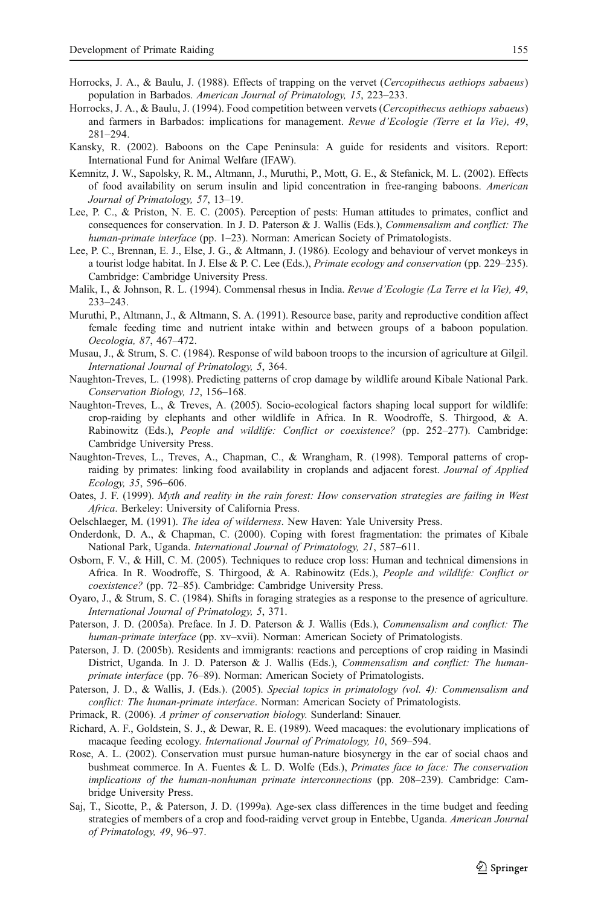- <span id="page-22-0"></span>Horrocks, J. A., & Baulu, J. (1988). Effects of trapping on the vervet (Cercopithecus aethiops sabaeus) population in Barbados. American Journal of Primatology, 15, 223–233.
- Horrocks, J. A., & Baulu, J. (1994). Food competition between vervets (Cercopithecus aethiops sabaeus) and farmers in Barbados: implications for management. Revue d'Ecologie (Terre et la Vie), 49, 281–294.
- Kansky, R. (2002). Baboons on the Cape Peninsula: A guide for residents and visitors. Report: International Fund for Animal Welfare (IFAW).
- Kemnitz, J. W., Sapolsky, R. M., Altmann, J., Muruthi, P., Mott, G. E., & Stefanick, M. L. (2002). Effects of food availability on serum insulin and lipid concentration in free-ranging baboons. American Journal of Primatology, 57, 13–19.
- Lee, P. C., & Priston, N. E. C. (2005). Perception of pests: Human attitudes to primates, conflict and consequences for conservation. In J. D. Paterson & J. Wallis (Eds.), Commensalism and conflict: The human-primate interface (pp. 1–23). Norman: American Society of Primatologists.
- Lee, P. C., Brennan, E. J., Else, J. G., & Altmann, J. (1986). Ecology and behaviour of vervet monkeys in a tourist lodge habitat. In J. Else & P. C. Lee (Eds.), Primate ecology and conservation (pp. 229–235). Cambridge: Cambridge University Press.
- Malik, I., & Johnson, R. L. (1994). Commensal rhesus in India. Revue d'Ecologie (La Terre et la Vie), 49, 233–243.
- Muruthi, P., Altmann, J., & Altmann, S. A. (1991). Resource base, parity and reproductive condition affect female feeding time and nutrient intake within and between groups of a baboon population. Oecologia, 87, 467–472.
- Musau, J., & Strum, S. C. (1984). Response of wild baboon troops to the incursion of agriculture at Gilgil. International Journal of Primatology, 5, 364.
- Naughton-Treves, L. (1998). Predicting patterns of crop damage by wildlife around Kibale National Park. Conservation Biology, 12, 156–168.
- Naughton-Treves, L., & Treves, A. (2005). Socio-ecological factors shaping local support for wildlife: crop-raiding by elephants and other wildlife in Africa. In R. Woodroffe, S. Thirgood, & A. Rabinowitz (Eds.), People and wildlife: Conflict or coexistence? (pp. 252–277). Cambridge: Cambridge University Press.
- Naughton-Treves, L., Treves, A., Chapman, C., & Wrangham, R. (1998). Temporal patterns of cropraiding by primates: linking food availability in croplands and adjacent forest. Journal of Applied Ecology, 35, 596–606.
- Oates, J. F. (1999). Myth and reality in the rain forest: How conservation strategies are failing in West Africa. Berkeley: University of California Press.
- Oelschlaeger, M. (1991). The idea of wilderness. New Haven: Yale University Press.
- Onderdonk, D. A., & Chapman, C. (2000). Coping with forest fragmentation: the primates of Kibale National Park, Uganda. International Journal of Primatology, 21, 587–611.
- Osborn, F. V., & Hill, C. M. (2005). Techniques to reduce crop loss: Human and technical dimensions in Africa. In R. Woodroffe, S. Thirgood, & A. Rabinowitz (Eds.), People and wildlife: Conflict or coexistence? (pp. 72–85). Cambridge: Cambridge University Press.
- Oyaro, J., & Strum, S. C. (1984). Shifts in foraging strategies as a response to the presence of agriculture. International Journal of Primatology, 5, 371.
- Paterson, J. D. (2005a). Preface. In J. D. Paterson & J. Wallis (Eds.), Commensalism and conflict: The human-primate interface (pp. xv-xvii). Norman: American Society of Primatologists.
- Paterson, J. D. (2005b). Residents and immigrants: reactions and perceptions of crop raiding in Masindi District, Uganda. In J. D. Paterson & J. Wallis (Eds.), Commensalism and conflict: The humanprimate interface (pp. 76–89). Norman: American Society of Primatologists.
- Paterson, J. D., & Wallis, J. (Eds.). (2005). Special topics in primatology (vol. 4): Commensalism and conflict: The human-primate interface. Norman: American Society of Primatologists.
- Primack, R. (2006). A primer of conservation biology. Sunderland: Sinauer.
- Richard, A. F., Goldstein, S. J., & Dewar, R. E. (1989). Weed macaques: the evolutionary implications of macaque feeding ecology. International Journal of Primatology, 10, 569–594.
- Rose, A. L. (2002). Conservation must pursue human-nature biosynergy in the ear of social chaos and bushmeat commerce. In A. Fuentes & L. D. Wolfe (Eds.), Primates face to face: The conservation implications of the human-nonhuman primate interconnections (pp. 208–239). Cambridge: Cambridge University Press.
- Saj, T., Sicotte, P., & Paterson, J. D. (1999a). Age-sex class differences in the time budget and feeding strategies of members of a crop and food-raiding vervet group in Entebbe, Uganda. American Journal of Primatology, 49, 96–97.